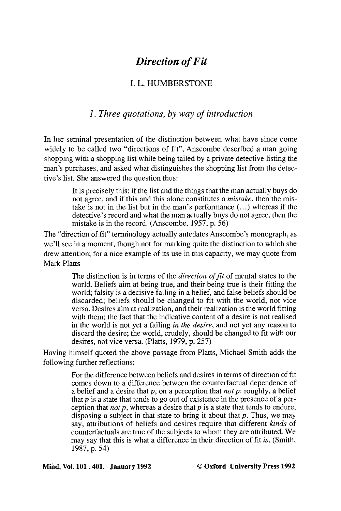# **Direction of Fit**  *Direction of Fit*

## **I. L. HUMBERSTONE**  1. L. HUMBERSTONE

## **1. Three quotations, by way of introduction**  *1. Three quotations, by way of introduction*

**In her seminal presentation of the distinction between what have since come**  In her seminal presentation of the distinction between what have since come **widely to be called two "directions of fit", Anscombe described a man going**  widely to be called two "directions of fit", Anscombe described a man going **shopping with a shopping list while being tailed by a private detective listing the**  shopping with a shopping list while being tailed by a private detective listing the **man's purchases, and asked what distinguishes the shopping list from the detec-**man's purchases, and asked what distinguishes the shopping list from the detec**tive's list. She answered the question thus:**  tive's list. She answered the question thus:

> **It is precisely this: if the list and the things that the man actually buys do**  It is precisely this: if the list and the things that the man actually buys do **not agree, and if this and this alone constitutes a mistake, then the mis-**not agree, and if this and this alone constitutes a *mistake,* then the mis**take is not in the list but in the man's performance (...) whereas if the**  take is not in the list but in the man's performance ( ... ) whereas if the **detective's record and what the man actually buys do not agree, then the**  detective's record and what the man actually buys do not agree, then the **mistake is in the record. (Anscombe, 1957, p. 56)**  mistake is in the record. (Anscombe, 1957, p. 56)

**The "direction of fit" terminology actually antedates Anscombe's monograph, as**  The "direction of fit" terminology actually antedates Anscombe's monograph, as **we'll see in a moment, though not for marking quite the distinction to which she**  we'll see in a moment, though not for marking quite the distinction to which she **drew attention; for a nice example of its use in this capacity, we may quote from**  drew attention; for a nice example of its use in this capacity, we may quote from **Mark Platts**  Mark Platts

> **The distinction is in terms of the direction offit of mental states to the**  The distinction is in terms of the *direction of fit* of mental states to the **world. Beliefs aim at being true, and their being true is their fitting the**  world. Beliefs aim at being true, and their being true is their fitting the **world; falsity is a decisive failing in a belief, and false beliefs should be**  world; falsity is a decisive failing in a belief, and false beliefs should be **discarded; beliefs should be changed to fit with the world, not vice**  discarded; beliefs should be changed to fit with the world, not vice **versa. Desires aim at realization, and their realization is the world fitting**  versa. Desires aim at realization, and their realization is the world fitting **with them; the fact that the indicative content of a desire is not realised**  with them; the fact that the indicative content of a desire is not realised **in the world is not yet a failing in the desire, and not yet any reason to**  in the world is not yet a failing *in the desire,* and not yet any reason to **discard the desire; the world, crudely, should be changed to fit with our**  discard the desire; the world, crudely, should be changed to fit with our **desires, not vice versa. (Platts, 1979, p. 257)**  desires, not vice versa. (Platts, 1979, p. 257)

**Having himself quoted the above passage from Platts, Michael Smith adds the**  Having himself quoted the above passage from Platts, Michael Smith adds the **following further reflections:**  following further reflections:

> **For the difference between beliefs and desires in terms of direction of fit**  For the difference between beliefs and desires in terms of direction of fit **comes down to a difference between the counterfactual dependence of**  comes down to a difference between the counterfactual dependence of **a belief and a desire that p, on a perception that not p: roughly, a belief**  a belief and a desire that p, on a perception that *not* p: roughly, a belief **that p is a state that tends to go out of existence in the presence of a per-**that p is a state that tends to go out of existence in the presence of a per**ception that not p, whereas a desire that p is a state that tends to endure,**  ception that *not* p, whereas a desire that p is a state that tends to endure, **disposing a subject in that state to bring it about that p. Thus, we may**  disposing a subject in that state to bring it about that p. Thus, we may **say, attributions of beliefs and desires require that different kinds of**  say, attributions of beliefs and desires require that different *kinds* of **counterfactuals are true of the subjects to whom they are attributed. We**  counterfactuals are true of the subjects to whom they are attributed. We **may say that this is what a difference in their direction of fit is. (Smith,**  may say that this is what a difference in their direction of fit *is.* (Smith, **1987, p. 54)**  1987,p.54)

**Mind, Vol. 101 . 401. January 1992 ? Oxford University Press 1992**  Mind, Vol. 101 . 401. January 1992 © Oxford University Press 1992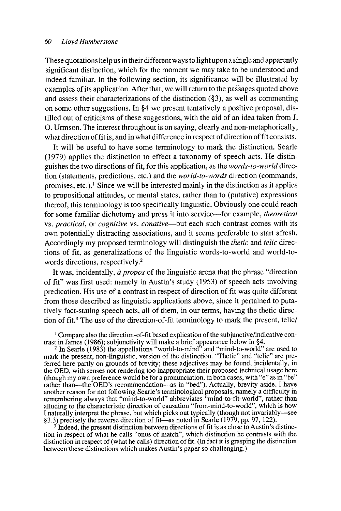#### **60 Lloyd Humberstone**  *60 Lloyd Humberstone*

**These quotations help us in their different ways to light upon a single and apparently**  These quotations help us in their different ways to light upon a single and apparently **significant distinction, which for the moment we may take to be understood and**  significant distinction, which for the moment we may take to be understood and **indeed familiar. In the following section, its significance will be illustrated by**  indeed familiar. In the following section, its significance will be illustrated by **examples of its application. After that, we will return to the passages quoted above**  examples of its application. After that, we will return to the passages quoted above **and assess their characterizations of the distinction (?3), as well as commenting**  and assess their characterizations of the distinction (§3), as well as commenting on some other suggestions. In §4 we present tentatively a positive proposal, dis**tilled out of criticisms of these suggestions, with the aid of an idea taken from J.**  tilled out of criticisms of these suggestions, with the aid of an idea taken from J. **0. Urmson. The interest throughout is on saying, clearly and non-metaphorically,**  O. Urmson. The interest throughout is on saying, clearly and non-metaphorically, what direction of fit is, and in what difference in respect of direction of fit consists.

**It will be useful to have some terminology to mark the distinction. Searle**  It will be useful to have some terminology to mark the distinction. Searle **(1979) applies the distinction to effect a taxonomy of speech acts. He distin-**(1979) applies the distinction to effect a taxonomy of speech acts. He distin**guishes the two directions of fit, for this application, as the words-to-world direc-**guishes the two directions of fit, for this application, as the *words-to-world* direc**tion (statements, predictions, etc.) and the world-to-words direction (commands,**  tion (statements, predictions, etc.) and the *world-to-words* direction (commands, promises, etc.).<sup>1</sup> Since we will be interested mainly in the distinction as it applies **to propositional attitudes, or mental states, rather than to (putative) expressions**  to propositional attitudes, or mental states, rather than to (putative) expressions **thereof, this terminology is too specifically linguistic. Obviously one could reach**  thereof, this terminology is too specifically linguistic. Obviously one could reach for some familiar dichotomy and press it into service-for example, *theoretical* **vs. practical, or cognitive vs. conative-but each such contrast comes with its**  vs. *practical,* or *cognitive* vs. *conative-but* each such contrast comes with its **own potentially distracting associations, and it seems preferable to start afresh.**  own potentially distracting associations, and it seems preferable to start afresh. **Accordingly my proposed terminology will distinguish the thetic and telic direc-**Accordingly my proposed terminology will distinguish the *thetic* and *telic* direc**tions of fit, as generalizations of the linguistic words-to-world and world-to-**tions of fit, as generalizations of the linguistic words-to-world and world-to**words directions, respectively.2**  words directions, respectively.2

**It was, incidentally, a' propos of the linguistic arena that the phrase "direction**  It was, incidentally, a *propos* of the linguistic arena that the phrase "direction **of fit" was first used: namely in Austin's study (1953) of speech acts involving**  of fit" was first used: namely in Austin's study (1953) of speech acts involving **predication. His use of a contrast in respect of direction of fit was quite different**  predication. His use of a contrast in respect of direction of fit was quite different **from those described as linguistic applications above, since it pertained to puta-**from those described as linguistic applications above, since it pertained to puta tively fact-stating speech acts, all of them, in our terms, having the thetic direc**tion of fit.3 The use of the direction-of-fit terminology to mark the present, telic/**  tion of fit. 3 The use of the direction-of-fit terminology to mark the present, *telicl* 

**1 Compare also the direction-of-fit based explication of the subjunctive/indicative con-**1 Compare also the direction-of-fit based explication of the subjunctive/indicative con**trast in James (1986); subjunctivity will make a brief appearance below in ?4.**  trast in James (1986); subjunctivity will make a brief appearance below in §4.

**<sup>2</sup>In Searle (1983) the appellations "world-to-mind" and "mind-to-world" are used to**  2 In Searle (1983) the appellations "world-to-mind" and "mind-to-world" are used to **mark the present, non-linguistic, version of the distinction. "Thetic" and "telic" are pre-**mark the present, non-linguistic, version of the distinction. "Thetic" and "telic" are pre**ferred here partly on grounds of brevity; these adjectives may be found, incidentally, in**  ferred here partly on grounds of brevity; these adjectives may be found, incidentally, in **the OED, with senses not rendering too inappropriate their proposed technical usage here**  the OED, with senses not rendering too inappropriate their proposed technical usage here **(though my own preference would be for a pronunciation, in both cases, with "e" as in "be"**  (though my own preference would be for a pronunciation, in both cases, with "e" as in "be" rather than—the OED's recommendation—as in "bed"). Actually, brevity aside, I have **another reason for not following Searle's terminological proposals, namely a difficulty in remembering always that "mind-to-world" abbreviates "mind-to-fit-world", rather than alluding to the characteristic direction of causation "from-mind-to-world", which is how I naturally interpret the phrase, but which picks out typically (though not invariably-see**  I naturally interpret the phrase, but which picks out typically (though not invariably-see §3.3) precisely the reverse direction of fit—as noted in Searle (1979, pp. 97, 122). rather than-the OED's recommendation-as in "bed"). Actually, brevity aside, I have another reason for not following Searle's terminological proposals, namely a difficulty in remembering always that "mind-to-world" abbreviates "mind-to-fit-world", rather than alluding to the characteristic direction of causation "from-mind-to-world", which is how

**3 Indeed, the present distinction between directions of fit is as close to Austin's distinc-**3 Indeed, the present distinction between directions of fit is as close to Austin's distinc**tion in respect of what he calls "onus of match", which distinction he contrasts with the**  tion in respect of what he calls "onus of match", which distinction he contrasts with the **distinction in respect of (what he calls) direction of fit. (In fact it is grasping the distinction**  distinction in respect of (what he calls) direction of fit. (In fact it is grasping the distinction **between 'these distinctions which makes Austin's paper so challenging.)**  between these distinctions which makes Austin's paper so challenging.)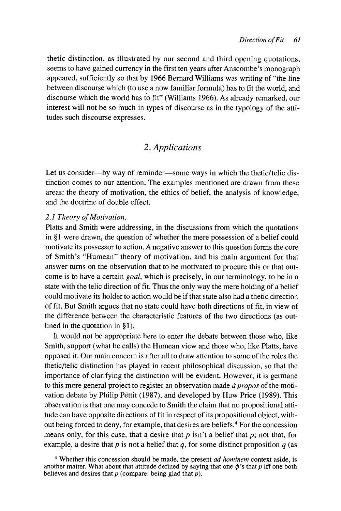**thetic distinction, as illustrated by our second and third opening quotations,**  thetic distinction, as illustrated by our second and third opening quotations, **seems to have gained currency in the first ten years after Anscombe's monograph**  seems to have gained currency in the first ten years after Anscombe's monograph **appeared, sufficiently so that by 1966 Bernard Williams was writing of "the line**  appeared, sufficiently so that by 1966 Bernard Williams was writing of "the line **between discourse which (to use a now familiar formula) has to fit the world, and**  between discourse which (to use a now familiar formula) has to fit the world, and **discourse which the world has to fit" (Williams 1966). As already remarked, our**  discourse which the world has to fit" (Williams 1966). As already remarked, our **interest will not be so much in types of discourse as in the typology of the atti-**interest will not be so much in types of discourse as in the typology of the atti**tudes such discourse expresses.**  tudes such discourse expresses.

## **2. Applications**  *2. Applications*

Let us consider-by way of reminder-some ways in which the thetic/telic dis**tinction comes to our attention. The examples mentioned are drawn from these**  tinction comes to our attention. The examples mentioned are drawn from these **areas: the theory of motivation, the ethics of belief, the analysis of knowledge,**  areas: the theory of motivation, the ethics of belief, the analysis of knowledge, **and the doctrine of double effect.**  and the doctrine of double effect.

## **2.1 Theory of Motivation.**  *2.1 Theory of Motivation.*

**Platts and Smith were addressing, in the discussions from which the quotations**  Platts and Smith were addressing, in the discussions from which the quotations **in ? 1 were drawn, the question of whether the mere possession of a belief could**  in § 1 were drawn, the question of whether the mere possession of a belief could **motivate its possessor to action. A negative answer to this question forms the core**  motivate its possessor to action. A negative answer to this question forms the core **of Smith's "Humean" theory of motivation, and his main argument for that**  of Smith's "Humean" theory of motivation, and his main argument for that **answer turns on the observation that to be motivated to procure this or that out-**answer turns on the observation that to be motivated to procure this or that out**come is to have a certain goal, which is precisely, in our terminology, to be in a**  come is to have a certain *goal,* which is precisely, in our terminology, to be in a **state with the telic direction of fit. Thus the only way the mere holding of a belief**  state with the telic direction of fit. Thus the only way the mere holding of a belief **could motivate its holder to action would be if that state also had a thetic direction**  could motivate its holder to action would be if that state also had a thetic direction of fit. But Smith argues that no state could have both directions of fit, in view of **the difference between the characteristic features of the two directions (as out-**the difference between the characteristic features of the two directions (as outlined in the quotation in §1).

**It would not be appropriate here to enter the debate between those who, like**  It would not be appropriate here to enter the debate between those who, like **Smith, support (what he calls) the Humean view and those who, like Platts, have**  Smith, support (what he calls) the Humean view and those who, like Platts, have **opposed it. Our main concern is after all to draw attention to some of the roles the**  opposed it. Our main concern is after all to draw attention to some of the roles the **thetic/telic distinction has played in recent philosophical discussion, so that the**  thetic/telic distinction has played in recent philosophical discussion, so that the **importance of clarifying the distinction will be evident. However, it is germane**  importance of clarifying the distinction will be evident. However, it is germane to this more general project to register an observation made  $\dot{a}$  propos of the moti**vation debate by Philip Pettit (1987), and developed by Huw Price (1989). This**  vation debate by Philip Pettit (1987), and developed by Huw Price (1989). This **observation is that one may concede to Smith the claim that no propositional atti-**observation is that one may concede to Smith the claim that no propositional atti**tude can have opposite directions of fit in respect of its propositional object, with-**tude can have opposite directions of fit in respect of its propositional object, without being forced to deny, for example, that desires are beliefs.<sup>4</sup> For the concession **means only, for this case, that a desire that p isn't a belief that p; not that, for**  means only, for this case, that a desire that *p* isn't a belief that *p;* not that, for **example, a desire that p is not a belief that q, for some distinct proposition q (as**  example, a desire that *p* is not a belief that *q,* for some distinct proposition *q* (as

**<sup>4</sup> Whether this concession should be made, the present ad hominem context aside, is**  4 Whether this concession should be made, the present *ad hominem* context aside, is another matter. What about that attitude defined by saying that one  $\phi$ 's that  $p$  iff one both believes and desires that  $p$  (compare: being glad that  $\dot{p}$ ).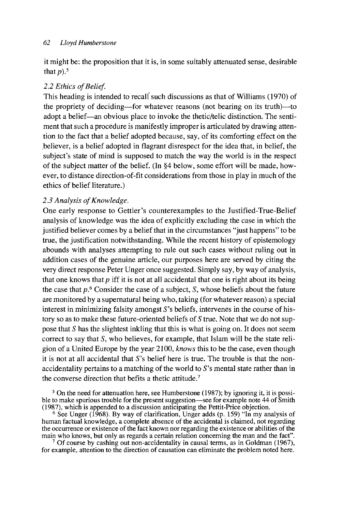#### **62 Lloyd Humberstone**  *62 Lloyd Humberstone*

**it might be: the proposition that it is, in some suitably attenuated sense, desirable**  it might be: the proposition that it is, in some suitably attenuated sense, desirable that  $p$ ).<sup>5</sup>

## **2.2 Ethics of Belief.**  *2.2 Ethics of Belief.*

**This heading is intended to recall such discussions as that of Williams (1970) of**  This heading is intended to recall'such discussions as that of Williams (1970) of the propriety of deciding-for whatever reasons (not bearing on its truth)-to **adopt a belief-an obvious place to invoke the thetic/telic distinction. The senti-**adopt a belief-an obvious place to invoke the thetic/telic distinction. The senti**ment that such a procedure is manifestly improper is articulated by drawing atten-**ment that such a procedure is manifestly improper is articulated by drawing atten**tion to the fact that a belief adopted because, say, of its comforting effect on the**  tion to the fact that a belief adopted because, say, of its comforting effect on the believer, is a belief adopted in flagrant disrespect for the idea that, in belief, the **subject's state of mind is supposed to match the way the world is in the respect**  subject's state of mind is supposed to match the way the world is in the respect of the subject matter of the belief. (In §4 below, some effort will be made, how**ever, to distance direction-of-fit considerations from those in play in much of the**  ever, to distance direction-of-fit considerations from those in play in much of the **ethics of belief literature.)**  ethics of belief literature.)

## **2.3 Analysis of Knowledge.**  *2.3 Analysis of Knowledge.*

**One early response to Gettier's counterexamples to the Justified-True-Belief**  One early response to Gettier's counterexamples to the lustified-True-Belief **analysis of knowledge was the idea of explicitly excluding the case in which the**  analysis of knowledge was the idea of explicitly excluding the case in which the **justified believer comes by a belief that in the circumstances "just happens" to be**  justified believer comes by a belief that in the circumstances "just happens" to be **true, the justification notwithstanding. While the recent history of epistemology**  true, the justification notwithstanding. While the recent history of epistemology **abounds with analyses attempting to rule out such cases without ruling out in**  abounds with analyses attempting to rule out such cases without ruling out in **addition cases of the genuine article, our purposes here are served by citing the**  addition cases of the genuine article, our purposes here are served by citing the **very direct response Peter Unger once suggested. Simply say, by way of analysis,**  very direct response Peter Unger once suggested. Simply say, by way of analysis, **that one knows that p iff it is not at all accidental that one is right about its being**  that one knows that *p* iff it is not at all accidental that one is right about its being **the case that p.6 Consider the case of a subject, S, whose beliefs about the future**  the case that *p.6* Consider the case of a subject, S, whose beliefs about the future **are monitored by a supernatural being who, taking (for whatever reason) a special**  are monitored by a supernatural being who, taking (for whatever reason) a special **interest in minimizing falsity amongst S's beliefs, intervenes in the course of his-**interest in minimizing falsity amongst S's beliefs, intervenes in the course of his**tory so as to make these future-oriented beliefs of S true. Note that we do not sup-**tory so as to make these future-oriented beliefs of S true. Note that we do not sup**pose that S has the slightest inkling that this is what is going on. It does not seem**  pose that S has the slightest inkling that this is what is going on. It does not seem **correct to say that S, who believes, for example, that Islam will be the state reli-**correct to say that S, who believes, for example, that Islam will be the state reli**gion of a United Europe by the year 2100, knows this to be the case, even though**  gion of a United Europe by the year 2100, *knows* this to be the case, even though **it is not at all accidental that S's belief here is true. The trouble is that the non-**it is not at all accidental that S's belief here is true. The trouble is that the non**accidentality pertains to a matching of the world to S's mental state rather than in**  accidentality pertains to a matching of the world to S's mental state rather than in **the converse direction that befits a thetic attitude.7**  the converse direction that befits a thetic attitude.7

<sup>5</sup> On the need for attenuation here, see Humberstone (1987); by ignoring it, it is possible to make spurious trouble for the present suggestion—see for example note 44 of Smith **(1987), which is appended to a discussion anticipating the Pettit-Price objection.**  (1987), which is appended to a discussion anticipating the Pettit-Price objection.

**<sup>6</sup>See Unger (1968). By way of clarification, Unger adds (p. 159) "In my analysis of**  6 See Unger (1968). By way of clarification, Unger adds (p. 159) "In my analysis of **human factual knowledge, a complete absence of the accidental is claimed, not regarding**  human factual knowledge, a complete absence of the accidental is claimed, not regarding **the occurrence or existence of the fact known nor regarding the existence or abilities of the**  the occurrence or existence of the fact known nor regarding the existence or abilities of the main who knows, but only as regards a certain relation concerning the man and the fact".

**7 Of course by cashing out non-accidentality in causal terms, as in Goldman (1967),**  7 Of course by cashing out non-accidentality in causal terms, as in Goldman (1967), **for example, attention to the direction of causation can eliminate the problem noted here.**  for example, attention to the direction of causation can eliminate the problem noted here.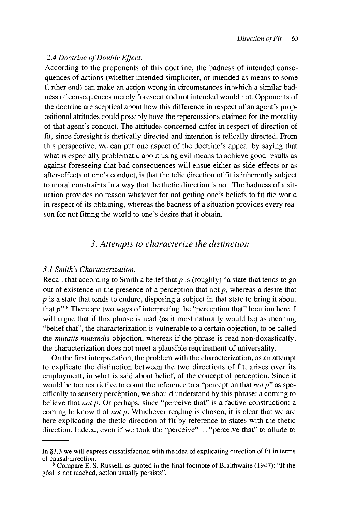## **2.4 Doctrine of Double Effect.**  *2.4 Doctrine of Double Effect.*

**According to the proponents of this doctrine, the badness of intended conse-**According to the proponents of this doctrine, the badness of intended conse**quences of actions (whether intended simpliciter, or intended as means to some**  quences of actions (whether intended simpliciter, or intended as means to some further end) can make an action wrong in circumstances in which a similar bad**ness of consequences merely foreseen and not intended would not. Opponents of**  ness of consequences merely foreseen and not intended would not. Opponents of **the doctrine are sceptical about how this difference in respect of an agent's prop-**the doctrine are sceptical about how this difference in respect of an agent's prop**ositional attitudes could possibly have the repercussions claimed for the morality**  ositional attitudes could possibly have the repercussions claimed for the morality of that agent's conduct. The attitudes concerned differ in respect of direction of **fit, since foresight is thetically directed and intention is telically directed. From**  fit, since foresight is thetically directed and intention is telically directed. From **this perspective, we can put one aspect of the doctrine's appeal by saying that**  this perspective, we can put one aspect of the doctrine's appeal by saying that **what is especially problematic about using evil means to achieve good results as**  what is especially problematic about using evil means to achieve good results as **against foreseeing that bad consequences will ensue either as side-effects or as**  against foreseeing that bad consequences will ensue either as side-effects or as **after-effects of one's conduct, is that the telic direction of fit is inherently subject**  after-effects of one's conduct, is that the telic direction of fit is inherently subject **to moral constraints in a way that the thetic direction is not. The badness of a sit-**to moral constraints in a way that the thetic direction is not. The badness of a sit**uation provides no reason whatever for not getting one's beliefs to fit the world**  uation provides no reason whatever for not getting one's beliefs to fit the world **in respect of its obtaining, whereas the badness of a situation provides every rea-**in respect of its obtaining, whereas the badness of a situation provides every rea**son for not fitting the world to one's desire that it obtain.**  son for not fitting the world to one's desire that it obtain.

## **3. Attempts to characterize the distinction**  *3. Attempts to characterize the distinction*

#### **3.1 Smith's Characterization.**  *3.1 Smith's Characterization.*

**Recall that according to Smith a belief that p is (roughly) "a state that tends to go**  Recall that according to Smith a belief that *p* is (roughly) "a state that tends to go out of existence in the presence of a perception that not  $p$ , whereas a desire that p is a state that tends to endure, disposing a subject in that state to bring it about that p".<sup>8</sup> There are two ways of interpreting the "perception that" locution here. I **will argue that if this phrase is read (as it most naturally would be) as meaning**  will argue that if this phrase is read (as it most naturally would be) as meaning **"belief that", the characterization is vulnerable to a certain objection, to be called**  "belief that", the characterization is vulnerable to a certain objection, to be called **the mutatis mutandis objection, whereas if the phrase is read non-doxastically,**  the *mutatis mutandis* objection, whereas if the phrase is read non-doxastically, **the characterization does not meet a plausible requirement of universality.**  the characterization does not meet a plausible requirement of universality.

**On the first interpretation, the problem with the characterization, as an attempt**  On the first interpretation, the problem with the characterization, as an attempt **to explicate the distinction between the two directions of fit, arises over its**  to explicate the distinction between the two directions of fit, arises over its **employment, in what is said about belief, of the concept of perception. Since it**  employment, in what is said about belief, of the concept of perception. Since it **would be too restrictive to count the reference to a "perception that not p" as spe-**would be too restrictive to count the reference to a "perception that *not* p" as spe**cifically to sensory perc'eption, we should understand by this phrase: a coming to**  cifically to sensory perception, we should understand by this phrase: a coming to **believe that not p. Or perhaps, since "perceive that" is a factive construction: a**  believe that *not* p. Or perhaps, since "perceive that" is a factive construction: a coming to know that *not p*. Whichever reading is chosen, it is clear that we are **here explicating the thetic direction of fit by reference to states with the thetic**  here explicating the thetic direction of fit by reference to states with the thetic **direction. Indeed, even if we took the "perceive" in "perceive that" to allude to**  direction. Indeed, even if we took the "perceive" in "perceive that" to allude to

In §3.3 we will express dissatisfaction with the idea of explicating direction of fit in terms **of causal-direction.**  of causal-direction.

**<sup>8</sup>Compare E. S. Russell, as quoted in the final footnote of Braithwaite (1947): "If the**  8 Compare E. S. Russell, as quoted in the final footnote of Braithwaite (1947): "If the **goal is not reached, action usually persists".**  goal is not reached, action usually persists".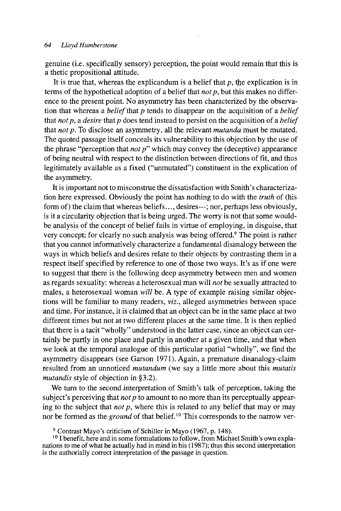#### **64 Lloyd Humberstone**  *64 Lloyd Humberstone*

**genuine (i.e. specifically sensory) perception, the point would remain that this is**  genuine (i.e. specifically sensory) perception, the point would remain that this is **a thetic propositional attitude.**  a thetic propositional attitude.

**It is true that, whereas the explicandum is a belief that p, the explication is in**  It is true that, whereas the explicandum is a belief that p, the explication is in **terms of the hypothetical adoption of a belief that not p, but this makes no differ-**terms of the hypothetical adoption of a belief that *not p,* but this makes no differ**ence to the present point. No asymmetry has been characterized by the observa-**ence to the present point. No asymmetry has been characterized by the observa**tion that whereas a belief that p tends to disappear on the acquisition of a belief**  tion that whereas a *belief* that *p* tends to disappear on the acquisition of a *belief*  **that not p, a desire that p does tend instead to persist on the acquisition of a belief**  that *not p,* a *desire* that *p* does tend instead to persist on the acquisition of a *belief*  **that not p. To disclose an asymmetry, all the relevant mutanda must be mutated.**  that *not p.* To disclose an asymmetry, all the relevant *mutanda* must be mutated. **The quoted passage itself conceals its vulnerability to this objection by the use of**  The quoted passage itself conceals its vulnerability to this objection by the use of **the phrase "perception that not p" which may convey the (deceptive) appearance**  the phrase "perception that *not p"* which may convey the (deceptive) appearance **of being neutral with respect to the distinction between directions of fit, and thus**  of being neutral with respect to the distinction between directions of fit, and thus **legitimately available as a fixed ("unmutated") constituent in the explication of**  legitimately available as a fixed ("unmutated") constituent in the explication of **the asymmetry.**  the asymmetry.

**It is important not to misconstrue the dissatisfaction with Smith's characteriza-**It is important not to misconstrue the dissatisfaction with Smith's characteriza**tion here expressed. Obviously the point has nothing to do with the truth of (his**  tion here expressed. Obviously the point has nothing to do with the *truth* of (his **form of) the claim that whereas beliefs..., desires---; nor, perhaps less obviously,**  form of) the claim that whereas beliefs ... , desires---; nor, perhaps less obviously, **is it a circularity objection that is being urged. The worry is not that some would-**is it a circularity objection that is being urged. The worry is not that some would**be analysis of the concept of belief fails in virtue of employing, in disguise, that**  be analysis of the concept of belief fails in virtue of employing, in disguise, that **very concept; for clearly no such analysis was being offered.9 The point is rather**  very concept; for clearly no such analysis was being offered.9 The point is rather **that you cannot informatively characterize a fundamental disanalogy between the**  that you cannot informatively characterize a fundamental dis analogy between the **ways in which beliefs and desires relate to their objects by contrasting them in a**  ways in which beliefs and desires relate to their objects by contrasting them in a **respect itself specified by reference to one of those two ways. It's as if one were**  respect itself specified by reference to one of those two ways. It's as if one were **to suggest that there is the following deep asymmetry between men and women**  to suggest that there is the following deep asymmetry between men and women **as regards sexuality: whereas a heterosexual man will not be sexually attracted to**  as regards sexuality: whereas a heterosexual man will *not* be sexually attracted to **males, a heterosexual woman will be. A type of example raising similar objec-**males, a heterosexual woman *will* be. A type of example raising similar objec**tions will be familiar to many readers, viz., alleged asymmetries between space**  tions will be familiar to many readers, *viz.,* alleged asymmetries between space and time. For instance, it is claimed that an object can be in the same place at two **different times but not at two different places at the same time. It is then replied**  different times but not at two different places at the same time. It is then replied **that there is a tacit "wholly" understood in the latter case, since an object can cer-**that there is a tacit "wholly" understood in the latter case, since an object can cer**tainly be partly in one place and partly in another at a given time, and that when**  tainly be partly in one place and partly in another at a given time, and that when **we look at the temporal analogue of this particular spatial "wholly", we find the**  we look at the temporal analogue of this particular spatial "wholly", we find the **asymmetry disappears (see Garson 1971). Again, a premature disanalogy-claim**  asymmetry disappears (see Garson 1971). Again, a premature dis analogy-claim **resulted from an unnoticed mutandum (we say a little more about this mutatis**  resulted from an unnoticed *mutandum* (we say a little more about this *mutatis*  mutandis style of objection in §3.2).

We turn to the second interpretation of Smith's talk of perception, taking the **subject's perceiving that not p to amount to no more than its perceptually appear-**subject's perceiving that *not p* to amount to no more than its perceptually appear**ing to the subject that not p, where this is related to any belief that may or may**  ing to the subject that *not p,* where this is related to any belief that mayor may **nor be formed as the ground of that belief.'0 This corresponds to the narrow ver-**nor be formed as the *ground* of that belief.lo This corresponds to the narrow ver-

**<sup>9</sup> Contrast Mayo's criticism of Schiller in Mayo (1967, p. 148).**  9 Contrast Mayo's criticism of Schiller in Mayo (1967, p. 148).

**<sup>1 0 1</sup> benefit, here and in some formulations to follow, from Michael Smith's own expla-**10 I benefit, here and in some formulations "to follow, from Michael Smith's own expla**nations to me of what he actually had in mind in his (1987); thus this second interpretation**  nations to me of what he actually had in mind in his (1987); thus this second interpretation **is the authorially correct interpretation of the passage in question.**  is the authorially correct interpretation of the passage in question.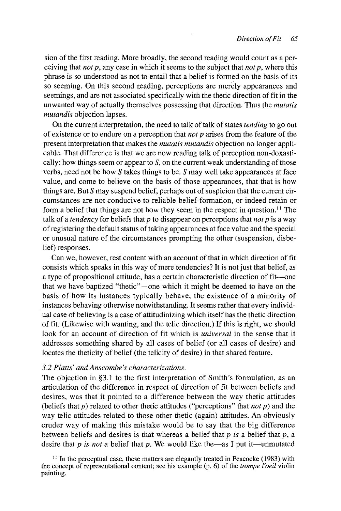**sion of the first reading. More broadly, the second reading would count as a per-**sion of the first reading. More broadly, the second reading would count as a per**ceiving that not p, any case in which it seems to the subject that not p, where this**  ceiving that *not p,* any case in which it seems to the subject that *not p,* where this **phrase is so understood as not to entail that a belief is formed on the basis of its**  phrase is so understood as not to entail that a belief is formed on the basis of its **so seeming. On this second reading, perceptions are merely appearances and**  so seeming. On this second (eading, perceptions are merely appearances and **seemings, and are not associated specifically with the thetic direction of fit in the**  seemings, and are not associated specifically with the thetic direction of fit in the **unwanted way of actually themselves possessing that direction. Thus the mutatis**  unwanted way of actually themselves possessing that direction. Thus the *mutatis*  **mutandis objection lapses.**  *mutandis* objection lapses.

**On the current interpretation, the need to talk of talk of states tending to go out**  On the current interpretation, the need to talk of talk of states *tending* to go out of existence or to endure on a perception that *not p* arises from the feature of the **present interpretation that makes the mutatis mutandis objection no longer appli-**present interpretation that makes the *mutatis mutandis* objection no longer appli**cable. That difference is that we are now reading talk of perception non-doxasti-**cable. That difference is that we are now reading talk of perception non-doxasti**cally: how things seem or appear to S, on the current weak understanding of those**  cally: how things seem or appear to S, on the current weak understanding of those **verbs, need not be how S takes things to be. S may well take appearances at face**  verbs, need not be how S takes things to be. S may well take appearances at face **value, and come to believe on the basis of those appearances, that that is how**  value, and come to believe on the basis of those appearances, that that is how **things are. But S may suspend belief, perhaps out of suspicion that the current cir-**things are. But S may suspend belief, perhaps out of suspicion that the current cir**cumstances are not conducive to reliable belief-formation, or indeed retain or**  cumstances are not conducive to reliable belief-formation, or indeed retain or **form a belief that things are not how they seem in the respect in question. " The**  form a belief that things are not how they seem in the respect in question. II The **talk of a tendency for beliefs that p to disappear on perceptions that not p is a way**  talk of a *tendency* for beliefs that *p* to disappear on perceptions that *not p* is a way **of registering the default status of taking appearances at face value and the special**  of registering the default status of taking appearances at face value and the special or unusual nature of the circumstances prompting the other (suspension, disbe**lief) responses.**  lief) responses.

**Can we, however, rest content with an account of that in which direction of fit**  Can we, however, rest content with an account of that in which direction of fit **consists which speaks in this way of mere tendencies? It is not just that belief, as**  consists which speaks in this way of mere tendencies? It is not just that belief, as a type of propositional attitude, has a certain characteristic direction of fit-one **that we have baptized "thetic"-one which it might be deemed to have on the**  that we have baptized "thetic"-one which it might be deemed to have on the **basis of how its instances typically behave, the existence of a minority of**  basis of how its instances typically behave, the existence of a minority of **instances behaving otherwise notwithstanding. It seems rather that every individ-**instances behaving otherwise notwithstanding. It seems rather that every individ**ual case of believing is a case of attitudinizing which itself has the thetic direction**  ual case of believing is a case of attitudinizing which itself has the thetic direction **of fit. (Likewise with wanting, and the telic direction.) If this is right, we should**  of fit. (Likewise with wanting, and the telic direction.) If this is right, we should **look for an account of direction of fit which is universal in the sense that it**  look for an account of direction of fit which is *universal* in the sense that it **addresses something shared by all cases of belief (or all cases of desire) and**  addresses something shared by all cases of belief (or all cases of desire) and **locates the theticity of belief (the telicity of desire) in that shared feature.**  locates the theticity of belief (the telicity of desire) in that shared feature.

## **3.2 Platts' and Anscombe's characterizations.**  *3.2 Platts' andAnscombe's characterizations.*

The objection in §3.1 to the first interpretation of Smith's formulation, as an **articulation of the difference in respect of direction of fit between beliefs and**  articulation of the difference in respect of direction of fit between beliefs and **desires, was that it pointed to a difference between the way thetic attitudes**  desires, was that it pointed to a difference between the way thetic attitudes **(beliefs that p) related to other thetic attitudes ("perceptions" that not p) and the**  (beliefs that *p)* related to other thetic attitudes ("perceptions" that *not p)* and the **way telic attitudes related to those other thetic (again) attitudes. An obviously**  way telic attitudes related to those other thetic (again) attitudes. An obviously **cruder way of making this mistake would be to say that the big difference**  cruder way of making this mistake would be to say that the big difference between beliefs and desires is that whereas a belief that  $p$  is a belief that  $p$ , a **desire that p is not a belief that p. We would like the-as I put it-unmutated**  desire that *p* is *not* a belief that *p.* We would like the-as I put it-unmutated

<sup>&</sup>lt;sup>11</sup> In the perceptual case, these matters are elegantly treated in Peacocke (1983) with **the concept of representational content; see his example (p. 6) of the trompe l'oeil violin**  the concept of representational content; see his example (p. 6) of the *trompe l'oeil* violin painting. **painting.**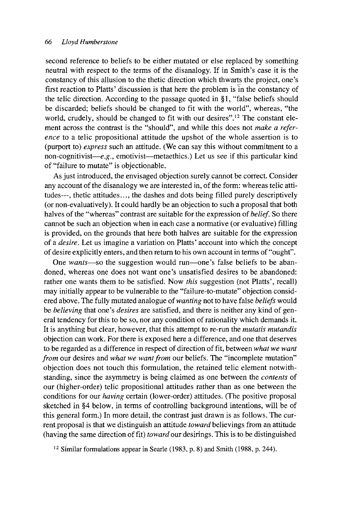**second reference to beliefs to be either mutated or else replaced by something**  second reference to beliefs to be either mutated or else replaced by something **neutral with respect to the terms of the disanalogy. If in Smith's case it is the**  neutral with respect to the terms of the disanalogy. If in Smith's case it is the **constancy of this allusion to the thetic direction which thwarts the project, one's**  constancy of this allusion to the thetic direction which thwarts the project, one's **first reaction to Platts' discussion is that here the problem is in the constancy of**  first reaction to Platts' discussion is that here the problem is "fn the constancy of the telic direction. According to the passage quoted in §1, "false beliefs should **be discarded; beliefs should be changed to fit with the world", whereas, "the**  be discarded; beliefs should be changed to fit with the world", whereas, "the world, crudely, should be changed to fit with our desires".<sup>12</sup> The constant ele**ment across the contrast is the "should", and while this does not make a refer-**ment across the contrast is the "should", and while this does not *make a refer*ence to a telic propositional attitude the upshot of the whole assertion is to **(purport to) express such an attitude. (We can say this without commitment to a**  (purport to) *express* such an attitude. (We can say this without commitment to a non-cognitivist-e.g., emotivist-metaethics.) Let us see if this particular kind **of "failure to mutate" is objectionable.**  of "failure to mutate" is objectionable.

**As just introduced, the envisaged objection surely cannot be correct. Consider**  As just introduced, the envisaged objection surely cannot be correct. Consider **any account of the disanalogy we are interested in, of the form: whereas telic atti-**any account of the disanalogy we are interested in, of the form: whereas telic atti**tudes---, thetic attitudes..., the dashes and dots being filled purely descriptively**  tudes---, thetic attitudes ... , the dashes and dots being filled purely descriptively **(or non-evaluatively). It could hardly be an objection to such a proposal that both**  (or non-evaluatively).1t could hardly be an objection to such a proposal that both **halves of the "whereas" contrast are suitable for the expression of belief. So there**  halves of the "whereas" contrast are suitable for the expression of *belief.* So there **cannot be such an objection when in each case a normative (or evaluative) filling**  cannot be such an objection when in each case a normative (or evaluative) filling **is provided, on the grounds that here both halves are suitable for the expression**  is provided, on the grounds that here both halves are suitable for the expression of a *desire*. Let us imagine a variation on Platts' account into which the concept of desire explicitly enters, and then return to his own account in terms of "ought".

One wants-so the suggestion would run-one's false beliefs to be aban**doned, whereas one does not want one's unsatisfied desires to be abandoned:**  doned, whereas one does not want one's unsatisfied desires to be abandoned: **rather one wants them to be satisfied. Now this suggestion (not Platts', recall)**  rather one wants them to be satisfied. Now *this* suggestion (not Platts', recall) **may initially appear to be vulnerable to the "failure-to-mutate" objection consid-**may initially appear to be vulnerable to the "failure-to-mutate" objection consid**ered above. The fully mutated analogue of wanting not to have false beliefs would**  ered above. The fully mutated analogue of *wanting* not to have false *beliefs* would **be believing that one's desires are satisfied, and there is neither any kind of gen-**be *believing* that one's *desires* are satisfied, and there is neither any kind of gen**eral tendency for this to be so, nor any condition of rationality which demands it.**  eral tendency for this to be so, nor any condition of rationality which demands it. **It is anything but clear, however, that this attempt to re-run the mutatis mutandis**  It is anything but clear, however, that this attempt to re-run the *mutatis mutandis*  **objection can work. For there is exposed here a difference, and one that deserves**  objection can work. For there is exposed here a difference, and one that deserves **to be regarded as a difference in respect of direction of fit, between what we want**  to be regarded as a difference in respect of direction of fit, between *what we want from* our desires and *what we want from* our beliefs. The "incomplete mutation" **objection does not touch this formulation, the retained telic element notwith-**objection does not touch this formulation, the retained telic element notwith**standing, since the asymmetry is being claimed as one between the contents of**  standing, since the asymmetry is being claimed as one between the *contents* of our (higher-order) telic propositional attitudes rather than as one between the **conditions for our having certain (lower-order) attitudes. (The positive proposal**  conditions for our *having* certain (lower-order) attitudes. (The positive proposal **sketched in ?4 below, in terms of controlling background intentions, will be of**  sketched in §4 below, in terms of controlling background intentions, will be of **this general form.) In more detail, the contrast just drawn is as follows. The cur-**this general form.) In more detail, the contrast just drawn is as follows. The cur**rent proposal is that we distinguish an attitude toward believings from an attitude**  rent proposal is that we distinguish an attitude *toward* believings from an attitude **(having the same direction of fit) toward our desirings. This is to be distinguished**  (having the same direction of fit) *toward* our desirings. This is to be distinguished

<sup>12</sup> Similar formulations appear in Searle (1983, p. 8) and Smith (1988, p. 244).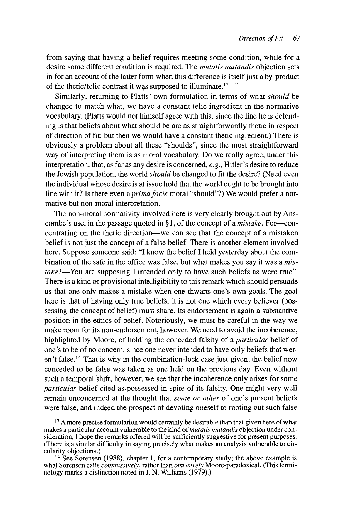**from saying that having a belief requires meeting some condition, while for a**  from saying that having a belief requires meeting some condition, while for a **desire some different condition is required. The mutatis mutandis objection sets**  desire some different condition is required. The *mutatis mutandis* objection sets **in for an account of the latter form when this difference is itself just a by-product**  in for an account of the latter form when this difference is itself just a by -product of the thetic/telic contrast it was supposed to illuminate.<sup>13</sup>

**Similarly, returning to Platts' own formulation in terms of what should be**  Similarly, returning to Platts' own formulation in terms of what *should* be **changed to match what, we have a constant telic ingredient in the normative**  changed to match what, we have a constant telic ingredient in the normative **vocabulary. (Platts would not himself agree with this, since the line he is defend-**vocabulary. (Platts would not himself agree with this, since the line he is defend**ing is that beliefs about what should be are as straightforwardly thetic in respect**  ing is that beliefs about what should be are as straightforwardly thetic in respect **of direction of fit; but then we would have a constant thetic ingredient.) There is**  of direction of fit; but then we would have a constant thetic ingredient.) There is **obviously a problem about all these "shoulds", since the most straightforward**  obviously a problem about all these "shoulds", since the most straightforward **way of interpreting them is as moral vocabulary. Do we really agree, under this**  way of interpreting them is as moral vocabulary. Do we really agree, under this **interpretation, that, as far as any desire is concerned, e.g., Hitler's desire to reduce**  interpretation, that, as far as any desire is concerned, *e.g.,* Hitler's desire to reduce **the Jewish population, the world should be changed to fit the desire? (Need even**  the Jewish population, the world *should* be changed to fit the desire? (Need even **the individual whose desire is at issue hold that the world ought to be brought into**  the individual whose desire is at issue hold that the world ought to be brought into line with it? Is there even a *prima facie* moral "should"?) We would prefer a nor**mative but non-moral interpretation.**  mative but non-moral interpretation.

**The non-moral normativity involved here is very clearly brought out by Ans-**The non-moral normativity involved here is very clearly brought out by Ans**combe's use, in the passage quoted in ? 1, of the concept of a mistake. For-con-**combe's use, in the passage quoted in § 1, of the concept of a *mistake,* For--con**centrating on the thetic direction-we can see that the concept of a mistaken**  centrating on the thetic direction-we can see that the concept of a mistaken **belief is not just the concept of a false belief. There is another element involved**  belief is not just the concept of a false belief, There is another element involved **here. Suppose someone said: "I know the belief I held yesterday about the com-**here. Suppose someone said: "I know the belief I held yesterday about the com**bination of the safe in the office was false, but what makes you say it was a mis-**bination of the safe in the office was false, but what makes you say it was a *mis***take?-You are supposing I intended only to have such beliefs as were true".**  *take?-You* are supposing I intended only to have such beliefs as were true". **There is a kind of provisional intelligibility to this remark which should persuade**  There is a kind of provisional intelligibility to this remark which should persuade **us that one only makes a mistake when one thwarts one's own goals. The goal**  us that one only makes a mistake when one thwarts one's own goals. The goal **here is that of having only true beliefs; it is not one which every believer (pos-**here is that of having only true beliefs; it is not one which every believer (pos**sessing the concept of belief) must share. Its endorsement is again a substantive**  sessing the concept of belief) must share. Its endorsement is again a substantive **position in the ethics of belief. Notoriously, we must be careful in the way we**  position in the ethics of belief. Notoriously, we must be careful in the way we **make room for its non-endorsement, however. We need to avoid the incoherence,**  make room for its non-endorsement, however. We need to avoid the incoherence, **highlighted by Moore, of holding the conceded falsity of a particular belief of**  highlighted by *Mdore,* of holding the conceded falsity of a *particular* belief of **one's to be of no concern, since one never intended to have only beliefs that wer-**one's to be of no concern, since one never intended to have only beliefs that wer**en't false.'4 That is why in the combination-lock case just given, the belief now**  en't false. 14 That is why in the combination-lock case just given, the belief now **conceded to be false was taken as one held on the previous day. Even without**  conceded to be false was taken as one held on the previous day. Even without **such a temporal shift, however, we see that the incoherence only arises for some**  such a temporal "shift, however, we see that the incoherence only arises for some **particular belief cited as,possessed in spite of its falsity. One might very well**  *particular* belief cited as-possessed in spite of its falsity. One might very well **remain unconcerned at the thought that some or other of one's present beliefs**  remain unconcerned at the thought that *some or other* of one's present beliefs **were false, and indeed the prospect of devoting oneself to rooting out such false**  were false, and indeed the prospect of devoting oneself to rooting out such false

**<sup>I</sup>3 A more precise formulation would certainly be desirable than that given here of what**  13 A more precise formulation would certainly be-desirable than that given here of what **makes a particular account vulnerable to the kind of mutatis mutandis objection under con-**makes a particular account vulnerable to the kind of *mutatis mutandis* objection under con**sideration; I hope the remarks offered will be sufficiently suggestive for present purposes.**  sideration; I hope the remarks offered will be sufficiently suggestive for present purposes. **(There is. a similar difficulty in saying precisely what makes an analysis vulnerable to cir-**(There is. a similar difficulty in saying precisely what makes an analysis vulnerable to cir**cularity objections.)**  cularity objections.)

**<sup>14</sup>See Sorensen (1988), chapter 1, for a contemporary study; the above example is**  14 See Sorensen (1988), chapter I, for a contemporary study; the above example is **what Sorensen calls commissively, rather than omissively Moore-paradoxical. (This terni-**what Sorensen calls *commissively,* rather than *omissively* Moore-paradoxical. (This termi**nology marks a distinction noted in J. N. Williams (1979).)**  nology marks a distinction noted in J. N. Williams (1979).)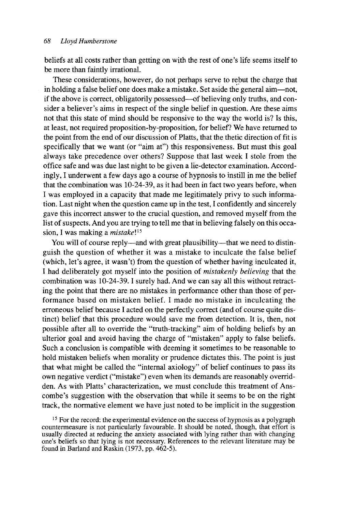**beliefs at all costs rather than getting on with the rest of one's life seems itself to**  beliefs at all costs rather than getting on with the rest of one's life seems itself to **be more than faintly irrational.**  be more than faintly irrational.

These considerations, however, do not perhaps serve to rebut the charge that **in holding a false belief one does make a mistake. Set aside the general aim-not,**  in holding a false belief one does make a mistake. Set aside the general aim-not, if the above is correct, obligatorily possessed—of believing only truths, and con**sider a believer's aims in respect of the single belief in question. Are these aims**  sider a believer's aims in respect of the single belief in question. Are these aims **not that this state of mind should be responsive to the way the world is? Is this,**  not that this state of mind should be responsive to the way the world is? Is this, **at least, not required proposition-by-proposition, for belief? We have returned to**  at least, not required proposition-by-proposition, for belief? We have returned to **the point from the end of our discussion of Platts, that the thetic direction of fit is**  the point from the end of our discussion of Platts, that the thetic direction of fit is **specifically that we want (or "aim at") this responsiveness. But must this goal**  specifically that we want (or "aim at") this responsiveness. But must this goal **always take precedence over others? Suppose that last week I stole from the**  always take precedence over others? Suppose that last week I stole from the **office safe and was due last night to be given a lie-detector examination. Accord-**office safe and was due last night to be given a lie-detector examination. Accord**ingly, I underwent a few days ago a course of hypnosis to instill in me the belief**  ingly, I underwent a few days ago a course of hypnosis to instill in me the belief **that the combination was 10-24-39, as it had been in fact two years before, when**  that the combination was 10-24-39, as it had been in fact two years before, when **I was employed in a capacity that made me legitimately privy to such informa-**I was employed in a capacity that made me legitimately privy to such informa**tion. Last night when the question came up in the test, I confidently and sincerely**  tion. Last night when the question came up in the test, I confidently and sincerely **gave this incorrect answer to the crucial question, and removed myself from the**  gave this incorrect answer to the crucial question, and removed myself from the **list of suspects. And you are trying to tell me that in believing falsely on this occa-**list of suspects. And you are trying to tell me that in believing falsely on this occasion, I was making a *mistake*!<sup>15</sup>

You will of course reply-and with great plausibility-that we need to distin**guish the question of whether it was a mistake to inculcate the false belief**  guish the question of whether it was a mistake to inculcate the false belief **(which, let's agree, it wasn't) from the question of whether having inculcated it,**  (which, let's agree, it wasn't) from the question of whether having inculcated it, **I had deliberately got myself into the position of mistakenly believing that the**  I had deliberately got myself into the position of *mistakenly believing* that the **combination was 10-24-39. I surely had. And we can say all this without retract-**combination was 10-24-39. I surely had. And we can say all this without retract**ing the point that there are no mistakes in performance other than those of per-**ing the point that there are no mistakes in performance other than those of per**formance based on mistaken belief. I made no mistake in inculcating the**  formance based on mistaken belief. I made no mistake in inculcating the **erroneous belief because I acted on the perfectly correct (and of course quite dis-**erroneous belief because I acted on the perfectly correct (and of course quite dis**tinct) belief that this procedure would save me from detection. It is, then, not**  tinct) belief that this procedure would save me from detection. It is, then, not **possible after all to override the "truth-tracking" aim of holding beliefs by an**  possible after all to override the "truth-tracking" aim of holding beliefs by an **ulterior goal and avoid having the charge of "mistaken" apply to false beliefs.**  ulterior goal and avoid having the charge of "mistaken" apply to false beliefs. **Such a conclusion is compatible with deeming it sometimes to be reasonable to**  Such a conclusion is compatible with deeming it sometimes to be reasonable to **hold mistaken beliefs when morality or prudence dictates this. The point is just**  hold mistaken beliefs when morality or prudence dictates this. The point is just **that what might be called the "internal axiology" of belief continues to pass its**  that what might be called the "internal axiology" of belief continues to pass its **own negative verdict ("mistake") even when its demands are reasonably overrid-**own negative verdict ("mistake") even when its demands are reasonably overrid**den. As with Platts' characterization, we must conclude this treatment of Ans-**den. As with Platts' characterization, we must conclude this treatment of Ans**combe's suggestion with the observation that while it seems to be on the right**  combe's suggestion with the observation that while it seems to be on the right **track, the normative element we have just noted to be implicit in the suggestion**  track, the normative element we have just noted to be implicit in the suggestion

**<sup>15</sup>For the record: the experimental evidence on the success of hypnosis as a polygraph**  15 For the record: the experimental evidence on the success of hypnosis as a polygraph **countermeasure is not particularly favourable. It should be noted, though, that effort is**  countermeasure is not particularly favourable. It should be noted, though, that effort is **usually directed at reducing the anxiety associated with lying rather than with changing**  usually directed at reducing the anxiety associated with lying rather than with changing **one's beliefs so that lying is not necessary. References to the relevant literature may be**  one's beliefs so that lying is not necessary. References to the relevant literature may be **found in Barland and Raskin (1973, pp. 462-5).**  found in Barland and Raskin (1973, pp. 462-5).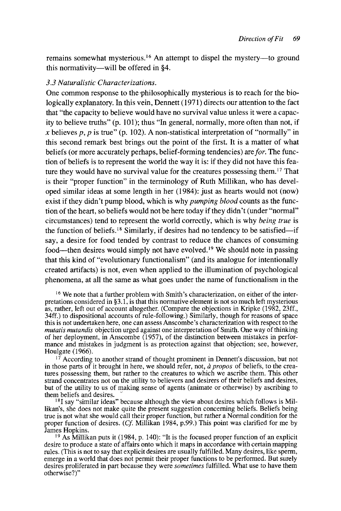remains somewhat mysterious.<sup>16</sup> An attempt to dispel the mystery--- to ground this normativity—will be offered in §4.

#### **3.3 Naturalistic Characterizations.**  *3.3 Naturalistic Characterizations.*

**One common response to the philosophically mysterious is to reach for the bio-**One common response to the 'philosophically mysterious is to reach for the bio**logically explanatory. In this vein, Dennett (1971) directs our attention to the fact**  logically explanatory. In this vein, Dennett (1971) directs our attention to the fact **that "the capacity to believe would have no survival value unless it were a capac-**that "the capacity to believe would have no survival value unless it were a capac**ity to believe truths" (p. 101); thus "In general, normally, more often than not, if**  ity to believe truths" (p. 101); thus "In general, normally, more often than not, if  $x$  believes  $p$ ,  $p$  is true" (p. 102). A non-statistical interpretation of "normally" in **this second remark best brings out the point of the first. It is a matter of what**  this second remark best brings out the point of the first. It is a matter of what **beliefs (or more accurately perhaps, belief-forming tendencies) arefor. The func-**beliefs (or more accurately perhaps, belief-forming tendencies) *are/or.* The func**tion of beliefs is to represent the world the way it is: if they did not have this fea-**tion of beliefs is to represent the world the way it is: if they did not have this feature they would have no survival value for the creatures possessing them.<sup>17</sup> That **is their "proper function" in the terminology of Ruth Millikan, who has devel-**is their "proper function" in the terminology of Ruth Millikan, who has devel**oped similar ideas at some length in her (1984): just as hearts would not (now)**  oped similar ideas at some length in her (1984): just as hearts would not (now) **exist if they didn't pump blood, which is why pumping blood counts as the func-**exist if they didn't pump blood, which is why *pumping blood* counts as the func**tion of the heart, so beliefs would not be here today if they didn't (under "normal"**  tion of the heart, so beliefs would not be here today if they didn't (under "normal" **circumstances) tend to represent the world correctly, which is why being true is**  circumstances) tend to represent the world correctly, which is why *being true* is **the function of beliefs. '8 Similarly, if desires had no tendency to be satisfied-if**  the function of beliefs. 18 Similarly, if desires had no tendency to be satisfied-if **say, a desire for food tended by contrast to reduce the chances of consuming**  say, a desire for food tended by contrast to reduce the chances of consuming food—then desires would simply not have evolved.<sup>19</sup> We should note in passing **that this kind of "evolutionary functionalism" (and its analogue for intentionally**  that this kind of "evolutionary functionalism" (and its analogue for intentionally **created artifacts) is not, even when applied to the illumination of psychological**  created artifacts) is not, even when applied to the illumination of psychological **phenomena, at all the same as what goes under the name of functionalism in the**  phenomena, at all the same as what goes under the name of functionalism in the

**16 We note that a further problem with Smith's characterization, on either of the inter-**16 We note that a further problem with Smith's characterization, on either of the inter**pretations considered in ?3.1, is that this normative element is not so much left mysterious**  pretations considered in §3.1, is that this normative element is not so much left mysterious **as, rather, left out of account altogether. (Compare the objections in Kripke (1982, 23ff., 34ff.) to dispositional accounts of rule-following.) Similarly, though for reasons of space this is not undertaken here, one can assess Anscombe's characterization with respect to the**  this is not undertaken here, one can assess Anscombe's characterization with respect to the **mutatis mutandis objection urged against one interpretation of Smith. One way of thinking**  *mutatis mutandis* objection urged against one interpretation of Smith. One way of thinking of her deployment, in Anscombe (1957), of the distinction between mistakes in performance and mistakes in judgment is as protection against that objection; see, however, **Houlgate (1966).**  Houlgate (1966). as, rather, left out of account altogether. (Compare the objections in Kripke (1982, 23ff., 34ff.) to dispositional accounts of rule-following.) Similarly, though for reasons of space

**<sup>17</sup>According to another strand of thought prominent in Dennett's discussion, but not**  17 According to another strand of thought prominent in Dennett's discussion, but not **in those parts of it brought in here, we should refer, not, a propos of beliefs, to the crea-**in those parts of it brought in here, we should refer, not, *a propos* of beliefs, to the crea**tures possessing them, but rather to the creatures to which we ascribe them. This other**  tures possessing them, but rather to the creatures to which we ascribe them. This other **strand concentrates not on the utility to believers and desirers of their beliefs and desires,**  strand concentrates not on the utility to believers and desirers of their beliefs and desires, **but of the utility to us of making sense of agents (animate or otherwise) by ascribing to**  but of the utility to us of making sense of agents (animate or otherwise) by ascribing to **them beliefs and desires.**  them beliefs and desires. "

**18j say "similar ideas" because although the view about desires which follows is Mil-**181 say "similar ideas" because although the view about desires which follows is Mil**likan's, she does not make quite the present suggestion concerning beliefs. Beliefs being**  likan's, she does not make quite the present suggestion concerning beliefs. Beliefs being **true is not what she would call their proper function, but rather a Normal condition for the proper function of desires. (Cf. Millikan 1984, p.99.) This point was clarified for me by James Hopkins.**  James Hopkins. true is not what she would call their proper function, but rather a Normal condition for the proper function of desires. (*Cf*. Millikan 1984, p.99.) This point was clarified for me by

**19 As Millikan puts it (1984, p. 140): "It is the focused proper function of an explicit**  <sup>19</sup>As Millikan puts it (1984, p. 140): "It is the focused proper function of an explicit **desire to produce a state of affairs onto which it maps in accordance with certain mapping**  desire to produce a state of affairs onto which it maps in accordance with certain mapping **rules. (This is not to say that explicit desires are usually fulfilled. Many desires, like sperm,**  rules. (This is not to say that explicit desires are usually fulfilled. Many desires, like sperm, **emerge in a world that does not permit their proper functions to be performed. But surely**  emerge in a world that does not permit their proper functions to be performed. But surely **desires proliferated in part because they were sometimes fulfilled. What use to have them**  desires proliferated in part because they were *sometimes* fulfilled. What use to have them **otherwise?)"**  otherwise?)"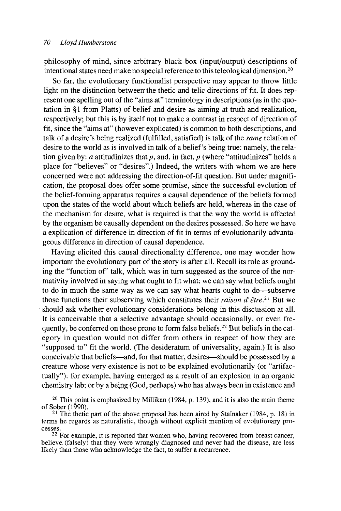**philosophy of mind, since arbitrary black-box (input/output) descriptions of**  philosophy of mind, since arbitrary black-box (input/output) descriptions of **intentional states need make no special reference to this teleological dimension.20**  intentional states need make no special reference to this teleological dimension.20

**So far, the evolutionary functionalist perspective may appear to throw little**  So far, the evolutionary functionalist perspective may appear to throw little **light on the distinction between the thetic and telic directions of fit. It does rep-**light on the distinction between'the thetic and telic directions' of fit. It does rep**resent one spelling out of the "aims at" terminology in descriptions (as in the quo-**resent one spelling out of the "aims at" terminology in descriptions (as in the quo**tation in ? 1 from Platts) of belief and desire as aiming at truth and realization,**  tation in § 1 from Platts) of belief and desire as aiming at truth and realization, **respectively; but this is by itself not to make a contrast in respect of direction of**  respectively; but this is by itself not to make a contrast in respect of direction of **fit, since the "aims at" (however explicated) is common to both descriptions, and**  fit, since the "aims at" (however explicated) is common to both descriptions, and **talk of a desire's being realized (fulfilled, satisfied) is talk of the same relation of**  talk of a desire's being realized (fulfilled, satisfied) is talk of the *same* relation of **desire to the world as is involved in talk of a belief's being true: namely, the rela-**desire to the world as is involved in talk of a belief's being true: namely, the rela**tion given by: a attitudinizes that p, and, in fact, p (where "attitudinizes" holds a**  tion given by: a attitudinizes that p, and, in fact, p (where "attitudinizes" holds a **place for "believes" or "desires".) Indeed, the writers with whom we are here**  place for "believes" or "desires".) Indeed, the writers with whom we are here **concerned were not addressing the direction-of-fit question. But under magnifi-**concerned were not addressing the direction-of-fit question. But under magnifi**cation, the proposal does offer some promise, since the successful evolution of**  cation, the proposal does offer some promise, since the successful evolution of the belief-forming apparatus requires a causal dependence of the beliefs formed **upon the states of the world about which beliefs are held, whereas in the case of**  upon the states of the world about which beliefs are held, whereas in the case of **the mechanism for desire, what is required is that the way the world is affected**  the mechanism for desire, what is required is that the way the world is affected **by the organism be causally dependent on the desires possessed. So here we have**  by the organism be causally dependent on the desires possessed. So here we have **a explication of difference in direction of fit in terms of evolutionarily advanta-**a explication of difference in direction of fit in terms of evolutionarily advanta**geous difference in direction of causal dependence.**  geous difference in direction of causal dependence.

**Having elicited this causal directionality difference, one may wonder how**  Having elicited this causal directionality difference, one may wonder how **important the evolutionary part of the story is after all. Recall its role as ground-**important the evolutionary part of the story is after all. Recall its role as ground**ing the "function of' talk, which was in turn suggested as the source of the nor-**ing the "function of' talk, which was in tum suggested as the source of the nor**mativity involved in saying what ought to fit what: we can say what beliefs ought**  mativity involved in saying what ought to fit what: we can say what beliefs ought to do in much the same way as we can say what hearts ought to do-subserve **those functions their subserving which constitutes their raison d'^tre.2' But we**  those functions their subserving which constitutes their *raison* d' *etre.*21 But we **should ask whether evolutionary considerations belong in this discussion at all.**  should ask whether evolutionary considerations belong in this discussion at all. **It is conceivable that a selective advantage should occasionally, or even fre-**It is conceivable that a selective advantage should occasionally, or even frequently, be conferred on those prone to form false beliefs.<sup>22</sup> But beliefs in the cat**egory in question would not differ from others in respect of how they are**  egory in question would not differ from others in respect of how they are **"supposed to" fit the world. (The desideratum of universality, again.) It is also**  "supposed to" fit the world. (The desideratum of universality, again.) It is also **conceivable that beliefs-and, for that matter, desires-should be possessed by a**  conceivable that beliefs-and, for that matter, desires-should be possessed by a **creature whose very existence is not to be explained evolutionarily (or "artifac-**creature whose very existence is not to be explained evolutionarily (or "artifac**tually"): for example, having emerged as a result of an explosion in an organic**  tually"): for example, having emerged as a result of an explosion in an organic chemistry lab; or by a being (God, perhaps) who has always been in existence and

**<sup>20</sup>This point is emphasized by Millikan (1984, p. 139), and it is also the main theme**  20 This point is emphasized by Millikan (1984, p. 139), and it is also the main theme **of Sober (1990).**  of Sober (1990).<br><sup>21</sup> The thetic part of the above proposal has been aired by Stalnaker (1984, p. 18) in

**<sup>22</sup>For example, it is reported that women who, having recovered from breast cancer,**  22 For example, it is reported that women who, having recovered from breast cancer, **believe. (falsely) that they were wrongly diagnosed and never had the disease, are less**  believe. (falsely) that they were wrongly diagnosed and never had the disease, are less **likely than those who acknowledge the fact, to suffer a recurrence.**  likely than those who acknowledge the fact, to suffer a recurrence.

**terms he regards as naturalistic, though without explicit mention of evolutionary pro-**terms he regards as naturalistic, though without explicit mention of evolutionary pro**cesses.**  cesses.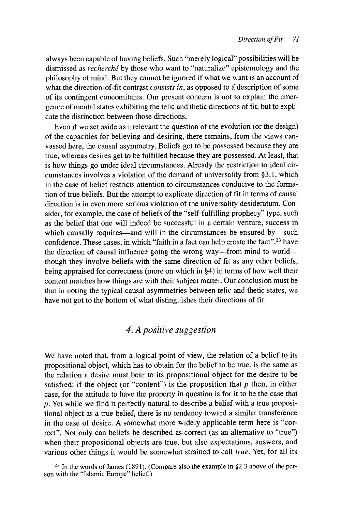**always been capable of having beliefs. Such "merely logical" possibilities will be**  always been capable of having beliefs. Such "merely logical" possibilities will be **dismissed as recherche' by those who want to "naturalize" epistemology and the**  dismissed as *recherche* by those who want to "naturalize" epistemology and the **philosophy of mind. But they cannot be ignored if what we want is an account of**  philosophy of mind. But they cannot be ignored if what we want is an account of what the direction-of-fit contrast *consists in*, as opposed to a description of some of its contingent concomitants. Our present concern is not to explain the emer**gence of mental states exhibiting the telic and thetic directions of fit, but to expli-**gence of mental states exhibiting the telic and thetic directions of fit, but to expli**cate the distinction between those directions.**  cate the distinction between those directions.

**Even if we set aside as irrelevant the question of the evolution (or the design)**  Even if we set aside as irrelevant the question of the evolution (or the design) of the capacities for believing and desiring, there remains, from the views can**vassed here, the causal asymmetry. Beliefs get to be possessed because they are**  vassed here, the causal asymmetry. Beliefs get to be possessed because they are **true, whereas desires get to be fulfilled because they are possessed. At least, that**  true, whereas desires get to be fulfilled because they are possessed. At least, that **is how things go under ideal circumstances. Already the restriction to ideal cir-**is how things go under ideal circumstances. Already the restriction to ideal cir**cumstances involves a violation of the demand of universality from ?3.1, which**  cumstances involves a violation of the demand of universality from §3.1, which **in the case of belief restricts attention to circumstances conducive to the forma-**in the case of belief restricts attention to circumstances conducive to the forma**tion of true beliefs. But the attempt to explicate direction of fit in terms of causal**  tion of true beliefs. But the attempt to explicate direction of fit in terms of causal **direction is in even more serious violation of the universality desideratum. Con-**direction is in even more serious violation of the universality desideratum. Con**sider, for example, the case of beliefs of the "self-fulfilling prophecy" type, such**  sider, for example, the case of beliefs of the "self-fulfilling prophecy" type, such **as the belief that one will indeed be successful in a certain venture, success in**  as the belief that one will indeed be successful in a certain venture, success in which causally requires—and will in the circumstances be ensured by—such **confidence. These cases, in which "faith in a fact can help create the fact",23 have**  confidence. These cases, in which "faith in a fact can help create the fact",23 have **the direction of causal influence going the wrong way-from mind to world-**the direction of causal influence going the wrong way-from mind to world**though they involve beliefs with the same direction of fit as any other beliefs,**  though they involve beliefs with the same direction of fit as any other beliefs, **being appraised for correctness (more on which in ?4) in terms of how well their**  being appraised for correctness (more on which in §4) in terms of how well their **content matches how things are with their subject matter. Our conclusion must be**  content matches how things are with their subject matter. Our conclusion must be **that in noting the typical causal asymmetries between telic and thetic states, we**  that in noting the typical causal asymmetries between telic and thetic states, we **have not got to the bottom of what distinguishes their directions of fit.**  have not got to the bottom of what distinguishes their directions of fit.

## **4. A positive suggestion**  4. A *positive suggestion*

**We have noted that, from a logical point of view, the relation of a belief to its**  We have noted that, from a logical point of view, the relation of a belief to its **propositional object, which has to obtain for the belief to be true, is the same as**  propositional object, which has to obtain for the belief to be true, is the same as **the relation a desire must bear to its propositional object for the desire to be**  the relation a desire must bear to its propositional object for the desire to be satisfied: if the object (or "content") is the proposition that  $p$  then, in either **case, for the attitude to have the property in question is for it to be the case that**  case, for the attitude to have the property in question is for it to be the case that **p. Yet while we find it perfectly natural to describe a belief with a true proposi-**p. Yet while we find it perfectly natural to describe a belief with a true proposi**tional object as a true belief, there is no tendency toward a similar transference**  tional object as a true belief, there is no tendency toward a similar transference **in the case of desire. A somewhat more widely applicable term here is "cor-**in the case of desire. A somewhat more widely applicable term here is "cor**rect". Not only can beliefs be described as correct (as an alternative to "true")**  rect". Not only can beliefs be described as correct (as an alternative to "true") **when their propositional objects are true, but also expectations, answers, and**  when their propositional objects are true, but also expectations, answers, and **various other things it would be somewhat strained to call true. Yet, for all its**  various other things it would be somewhat strained to call *true.* Yet, for all its

<sup>23</sup> In the words of James (1891). (Compare also the example in §2.3 above of the per**son with the "Islamic Europe" belief.)**  son with the "Islamic Europe" belief.)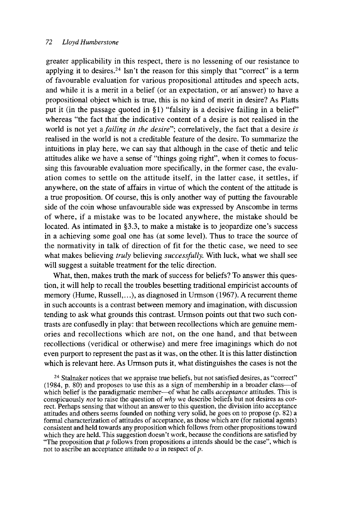#### **72 Lloyd Humberstone**  *72 Lloyd Humberstone*

**greater applicability in this respect, there is no lessening of our resistance to**  greater applicability in this respect, there is no lessening of our resistance to **applying it to desires.24 Isn't the reason for this simply that "correct" is a term**  applying it to desires.24 Isn't the reason for this simply that "correct" is a term **of favourable evaluation for various propositional attitudes and speech acts,**  of favourable evaluation for various propositional attitudes and speech acts, and while it is a merit in a belief (or an expectation, or an answer) to have a **propositional object which is true, this is no kind of merit in desire? As Platts**  propositional object which is true, this is no kind of merit in desire? As Platts put it (in the passage quoted in §1) "falsity is a decisive failing in a belief" **whereas "the fact that the indicative content of a desire is not realised in the**  whereas "the fact that the indicative content of a desire is not realised in the **world is not yet a failing in the desire"; correlatively, the fact that a desire is**  world is not yet *afailing in the desire";* correlatively, the fact that a desire *is*  **realised in the world is not a creditable feature of the desire. To summarize the**  realised in the world is not a creditable feature of the desire. To summarize the **intuitions in play here, we can say that although in the case of thetic and telic**  intuitions in play here, we can say that although in the case of thetic and telic **attitudes alike we have a sense of "things going right", when it comes to focus-**attitudes alike we have a sense of "things going right", when it comes to focus**sing this favourable evaluation more specifically, in the former case, the evalu-**sing this favourable evaluation more specifically, in the former case, the evaluation comes to settle on the attitude itself, in the latter case, it settles, if anywhere, on the state of affairs in virtue of which the content of the attitude is **anywhere, on the state of affairs in virtue of which the content of the attitude is a true proposition. Of course, this is only another way of putting the favourable**  a true proposition. Of course, this is only another way of putting the favourable **side of the coin whose unfavourable side was expressed by Anscombe in terms**  side of the coin whose unfavourable side was expressed by Anscombe in terms **of where, if a mistake was to be located anywhere, the mistake should be**  of where, if a mistake was to be located anywhere, the mistake should be located. As intimated in §3.3, to make a mistake is to jeopardize one's success **in a achieving some goal one has (at some level). Thus to trace the source of**  in a achieving some goal one has (at some level). Thus to trace the source of **the normativity in talk of direction of fit for the thetic case, we need to see**  the normativity in talk of direction of fit for the thetic case, we need to see **what makes believing truly believing successfully. With luck, what we shall see**  what makes believing *truly* believing *successfully.* With luck, what we shall see **will suggest a suitable treatment for the telic direction.**  will suggest a suitable treatment for the telic direction.

**What, then, makes truth the mark of success for beliefs? To answer this ques-**What, then, makes truth the mark of success for beliefs? To answer this ques**tion, it will help to recall the troubles besetting traditional empiricist accounts of**  tion, it will help to recall the troubles besetting traditional empiricist accounts of memory (Hume, Russell,...), as diagnosed in Urmson (1967). A recurrent theme **in such accounts is a contrast between memory and imagination, with discussion**  in such accounts is a contrast between memory and imagination, with discussion tending to ask what grounds this contrast. Urmson points out that two such con**trasts are confusedly in play: that between recollections which are genuine mem-**trasts are confusedly in play: that between recollections which are genuine mem**ories and recollections which are not, on the one hand, and that between**  ories and recollections which are not, on the one hand, and that between **recollections (veridical or otherwise) and mere free imaginings which do not**  recollections (veridical or otherwise) and mere free imaginings which do not **even purport to represent the past as it was, on the other. It is this latter distinction**  even purport to represent the past as it was, on the other. It is this latter distinction **which is relevant here. As Urmson puts it, what distinguishes the cases is not the**  which is relevant here. As Urmson puts it, what distinguishes the cases is not the

**<sup>24</sup>Stalnaker notices that we appraise true beliefs, but not satisfied desires, as "correct"**  24 Stalnaker notices that we appraise true beliefs, but not satisfied desires, as "correct" **(1984, p. 80) and proposes to 'use this as a sign of membership in a broader class-of**  (1984, p. 80) and proposes to use this as a sign of membership in a broader class-of which belief is the paradigmatic member-of what he calls *acceptance* attitudes. This is **conspicuously not to raise the question of why we describe beliefs but not desires as correct. Perhaps sensing that without an answer to this question, the division into acceptance**  rect. Perhaps sensing that without an answer to this question, the division into acceptance **attitudes and others seems founded on nothing very solid, he goes on to propose (p. 82) a**  attitudes and others seems founded on nothing very solid, he goes on to propose (p. 82) a **formal characterization of attitudes of acceptance, as those which are (for rational agents)**  formal characterization of attitudes of acceptance, as those which are (for rational agents) **consistent and held towards any proposition which follows from other propositions toward**  consistent and held towards any proposition which follows from other propositions toward **which they are held. This suggestion doesn't work, because the conditions are satisfied by**  which they are held. This suggestion doesn't work, because the conditions are satisfied by "The proposition that  $p$  follows from propositions  $q$  intends should be the case", which is **not to ascribe an acceptance attitude to a in respect of p.**  not to ascribe an acceptance attitude to a in respect of p. which belief is the paradigmatic member-of what he calls *acceptance* attitudes. This is conspicuously *not* to raise the question of *why* we describe beliefs but not desires as cor-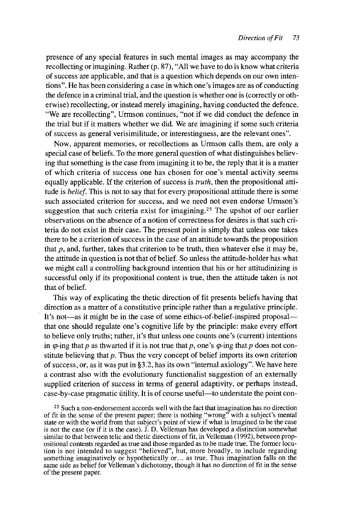**presence of any special features in such mental images as may accompany the**  presence of any special features in such mental images as may accompany the **recollecting or imagining. Rather (p. 87), "All we have to do is know what criteria**  recollecting or imagining. Rather (p. 87), "All we have to do is know what criteria **of success are applicable, and that is a question which depends on our own inten-**of success are applicable, and that is a question which depends on our own inten**tions". He has been considering a case in which one's images- are as of conducting**  tions". He has been considering a case in which one's images-are as of conducting **the defence in a criminal trial, and the question is whether one is (correctly or oth-**the defence in a criminal trial, imd the question is whether one is (correctly or oth**erwise) recollecting, or instead merely imagining, having conducted the defence.**  erwise) recollecting, or instead merely imagining, having conducted the defence. **"We are recollecting", Urmson continues, "not if we did conduct the defence in**  "We are recollecting", Urmson continues, "not if we did conduct the defence in **the trial but if it matters whether we did. We are imagining if some such criteria**  the trial but if it matters whether we did. We are imagining if some such criteria **of success as general verisimilitude, or interestingness, are the relevant ones".**  of success as general verisimilitude, or interestingness, are the relevant ones".

**Now, apparent memories, or recollections as Urmson calls them, are only a**  Now, apparent memories, or recollections as Urmson calls them, are only a **special case of beliefs. To the more general question of what distinguishes believ-**special case of beliefs. To the more general question of what distinguishes believ**ing that something is the case from imagining it to be, the reply that it is a matter**  ing that something is the case from imagining it to be, the reply that it is a matter **of which criteria of success one has chosen for one's mental activity seems**  of which criteria of success one has chosen for one's mental activity seems **equally applicable. If the criterion of success is truth, then the propositional atti-**equally applicable. If the criterion of success is *truth,* then the propositional atti**tude is belief. This is not to say that for every propositional attitude there is some**  tude is *belief.* This is not to say that for every propositional attitude there is some **such associated criterion for success, and we need not even endorse Urmson's**  such associated criterion for success, and we need not even endorse Urmson's **suggestion that such criteria exist for imagining.25 The upshot of our earlier**  suggestion that such criteria exist for imagining. 25 The upshot of our earlier **observations on the absence of a notion of correctness for desires is that such cri-**observations on the absence of a notion of correctness for desires is that such cri**teria do not exist in their case. The present point is simply that unless one takes**  teria do not exist in their case. The present point is simply that unless one takes **there to be a criterion of success in the case of an attitude towards the proposition**  there to be a criterion of success in the case of an attitude towards the proposition that p, and, further, takes that criterion to be truth, then whatever else it may be, **the attitude in question is not that of belief. So unless the attitude-holder has what**  the attitude in question is not that of belief. So unless the attitude-holder has what **we might call a controlling background intention that his or her attitudinizing is**  we might call a controlling background intention that his or her attitudinizing is **successful only if its propositional content is true, then the attitude taken is not**  successful only if its propositional content is true, then the attitude taken is not **that of belief.**  that of belief.

**This way of explicating the thetic direction of fit presents beliefs having that**  This way of explicating the thetic direction of fit presents beliefs having that **direction as a matter of a constitutive principle rather than a regulative principle.**  direction as a matter of a constitutive principle rather than a regulative principle. It's not-as it might be in the case of some ethics-of-belief-inspired proposal**that one should regulate one's cognitive life by the principle: make every effort**  that one should regulate one's cognitive life by the principle: make every effort **to believe only truths; rather, it's that unless one counts one's (current) intentions**  to believe only truths; rather, it's that unless one counts one's (current) intentions in  $\varphi$ -ing that p as thwarted if it is not true that p, one's  $\varphi$ -ing that p does not con**stitute believing that p. Thus the very concept of belief imports its own criterion**  stitute believing that p. Thus the very concept of belief imports its own criterion of success, or, as it was put in §3.2, has its own "internal axiology". We have here **a contrast also with the evolutionary functionalist suggestion of an externally**  a contrast also with the evolutionary functionalist suggestion of an externally supplied criterion of success in terms of general adaptivity, or perhaps instead, case-by-case pragmatic utility. It is of course useful-to understate the point con-

**<sup>25</sup>Such a non-endorsement accords well with the fact that imagination has no direction**  25 Such a non-endorsement accords well with the fact that imagination has no direction **of fit in the sense of the present paper; there is nothing "wrong" with a subject's mental state or with the world from that subject's point of view if what is imagined to be the case is not the case (or if it is the case). J. D. Velleman has developed a distinction somewhat similar to that between telic and thetic directions of fit, in Velleman (1992), between propositional contents regarded as true and those regarded as to be made true. The former locution is not intended to suggest "believed", but, more broadly, to include regarding something imaginatively or hypothetically or... as true. Thus imagination falls on the**  something imaginatively or hypothetically or ... as true. Thus imagination falls on the **same side as belief for Velleman's dichotomy, though it has no direction of fit in the sense**  same side as belief for Velleman's dichotomy, though it has no direction of fit in the sense **of the present paper.**  of'the present paper. of fit in the sense of the present paper; there is nothing "wrong" with a subject's mental state or with the world from that subject's point of view if what is imagined to be the case is not the case (or if it is the case). J. D. Velleman has developed a distinction somewhat similar to that between telic and thetic directions of fit, in Velleman (1992), between propositional contents regarded as true and those regarded as to be made true. The former locution is "not intended to suggest "believed", but, more broadly, to include regarding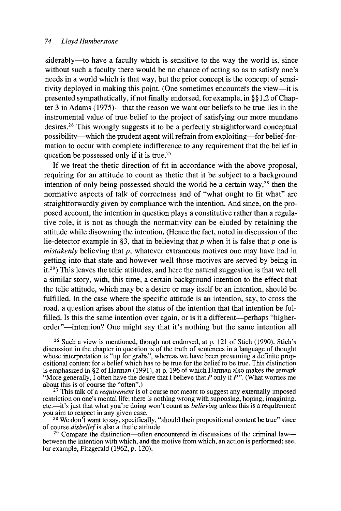siderably-to have a faculty which is sensitive to the way the world is, since **without such a faculty there would be no chance of acting so as to satisfy one's**  without such a faculty there would be no chance of acting so as to satisfy one's **needs in a world which is that way, but the prior concept is the concept of sensi-**needs in a world which is that way, but the prior concept is the concept of sensi**tivity deployed in making this point. (One sometimes encounters the view-it is**  tivity deployed in making this point. (One sometimes encounters the view-it is presented sympathetically, if not finally endorsed, for example, in §§1,2 of Chapter 3 in Adams (1975)—that the reason we want our beliefs to be true lies in the **instrumental value of true belief to the project of satisfying our more mundane**  instrumental value of true belief to the project of satisfying our more mundane **desires.26 This wrongly suggests it to be a perfectly straightforward conceptual**  desires.26 This wrongly suggests it to be a perfectly straightforward conceptual **possibility-which the prudent agent will refrain from exploiting-for belief-for-**possibility-which the prudent agent will refrain from exploiting-for belief-for**mation to occur with complete indifference to any requirement that the belief in**  mation to occur with complete indifference to any requirement that the belief in **question be possessed only if it is true.27**  question be possessed only if it is true.27

**If we treat the thetic direction of fit in accordance with the above proposal,**  If we treat the thetic direction of fit in accordance with the above proposal, **requiring for an attitude to count as thetic that it be subject to a background**  requiring for an attitude to count as thetic that it be subject to a background **intention of only being possessed should the world be a certain way,28 then the**  intention of only being possessed should the world be a certain way,28 then the **normative aspects of talk of correctness and of "what ought to fit what" are**  normative aspects of talk of correctness and of "what ought to fit what" are **straightforwardly given by compliance with the intention. And since, on the pro-**straightforwardly given by compliance with the intention. And since, on the pro**posed account, the intention in question plays a constitutive rather than a regula-**posed account, the intention in question plays a constitutive rather than a regula**tive role, it is not as though the normativity can be eluded by retaining the**  tive role, it is not as though the normativity can be eluded by retaining the **attitude while disowning the intention. (Hence the fact, noted in discussion of the**  attitude while disowning the intention. (Hence the fact, noted in discussion of the lie-detector example in §3, that in believing that  $p$  when it is false that  $p$  one is **mistakenly believing that p, whatever extraneous motives one may have had in**  *mistakenly* believing that p, whatever extraneous motives one may have had in **getting into that state and however well those motives are served by being in**  getting into that state and however well those motives are served by being in **it.29) This leaves the telic attitudes, and here the natural suggestion is that we tell**  it.29) This leaves the telic attitudes, and here the natural suggestion is that we tell **a similar story, with, this time, a certain background intention to the effect that**  a similar story, with, this time, a certain background intention to the effect that **the telic attitude, which may be a desire or may itself be an intention, should be**  the telic attitude, which may be a desire or may itself be an intention, should be **fulfilled. In the case where the specific attitude is an intention, say, to cross the**  fulfilled. In the case where the specific attitude is an intention, say, to cross the **road, a question arises about the status of the intention that that intention be ful-**road, a question arises about the status of the intention that that intention be ful**filled. Is this the same intention over again, or is it a different-perhaps "higher-**filled. Is this the same intention over again, or is it a different-perhaps "higherorder"—intention? One might say that it's nothing but the same intention all

**<sup>26</sup>Such a view is mentioned, though not endorsed, at p. 121 of Stich (1990). Stich's**  26 Such a view is mentioned, though not endorsed, at p. 121 of Stich (1990). Stich's **discussion in the chapter in question is of the truth of sentences in a language of thought**  discussion in the chapter in question is of the truth of sentences in a language of thought **whose interpretation is "up for grabs", whereas we have been presuming a definite prop-**whose interpretation is "up for grabs", whereas we have been presuming a definite prop**ositional content for a belief which has to be true for the belief to be true. This distinction**  ositional content for a belief which has to be true for the belief to be true. This distinction is emphasized in §2 of Harman (1991), at p. 196 of which Harman also makes the remark **"More generally, I often have the desire that I believe that P only if P". (What worries me**  "More generally, I often have the desire that I believe that P only if P". (What worries me **about this is of course the "often".)**  about this is of course the "often".)

**<sup>27</sup>This talk of a requirement is of course not meant to suggest any externally imposed**  27 This talk of a *requirement* is of course not meant to suggest any externally imposed restriction on one's mental life: there is nothing wrong with supposing, hoping, imagining, etc.—it's just that what you're doing won't count as *believing* unless this is a requirement **you aim to respect in any given case.**  you aim to respect in any given case.

**<sup>28</sup>We don't want to say, specifically, "should their propositional content be true" since**  28 We don't want to say, specifically, "should their propositional content be true" since **of course disbelief is also a thetic attitude.**  of course *disbelief* is also a thetic attitude.

**29 Compare the distinction-often encountered in discussions of the criminal law-**29 Compare the distinction--often encountered in discussions of the criminal law**between the intention with which, and the motive from which, an action is performed; see,**  between the intention with which, and the motive from which, an action is performed; see, **for example, Fitzgerald (1962, p. 120).**  for example, Fitzgerald (1962, p. 120).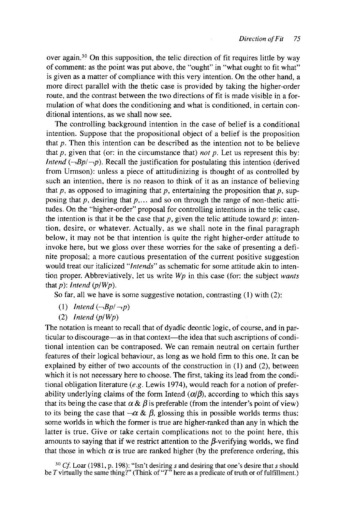**over again.30 On this supposition, the telic direction of fit requires little by way**  over again.30 On this supposition, the telic direction of fit requires little by way of comment: as the point was put above, the "ought" in "what ought to fit what" **is given as a matter of compliance with this very intention. On the other hand, a**  is given as a matter of compliance with this very intention. On the other hand, a **more direct parallel with the thetic case is provided by taking the higher-order**  more direct parallel with the thetic case is provided by taking the higher-order **route, and the contrast between the two directions of fit is made visible in a for-**route, and the contrast between the two directions of fit is made visible in a for**mulation of what does the conditioning and what is conditioned, in certain con-**mulation of what does the conditioning and what is conditioned, in certain con**ditional intentions, as we shall now see.**  ditional intentions, as we shall now see.

**The controlling background intention in the case of belief is a conditional**  The controlling background intention in the case of belief is a conditional **intention. Suppose that the propositional object of a belief is the proposition**  intention. Suppose that the propositional object of a belief is the proposition **that p. Then this intention can be described as the intention not to be believe**  that p. Then this intention can be described as the intention not to be believe **that p, given that (or: in the circumstance that) not p. Let us represent this by:**  that *p,* given that (or: in the circumstance that) *not p.* Let us represent this by: *Intend*  $(\neg Bp/\neg p)$ . Recall the justification for postulating this intention (derived **from Urmson): unless a piece of attitudinizing is thought of as controlled by**  from Urmson): unless a piece of attitudinizing is thought of as controlled by **such an intention, there is no reason to think of it as an instance of believing**  such an intention, there is no reason to think of it as an instance of believing **that p, as opposed to imagining that p, entertaining the proposition that p, sup-**that *p,* as opposed to imagining that *p,* entertaining the proposition that *p,* sup**posing that p, desiring that p,... and so on through the range of non-thetic atti-**posing that *p,* desiring that *p, ...* and so on through the range of non-thetic atti**tudes. On the "higher-order" proposal for controlling intentions in the telic case,**  tudes. On the "higher-order" proposal for controlling intentions in the telic case, the intention is that it be the case that  $p$ , given the telic attitude toward  $p$ : inten**tion, desire, or whatever. Actually, as we shall note in the final paragraph**  tion, desire, or whatever. Actually, as we shall note in the final paragraph **below, it may not be that intention is quite the right higher-order attitude to**  below, it may not be that intention is quite the right higher-order attitude to **invoke here, but we gloss over these worries for the sake of presenting a defi-**invoke here, but we gloss over these worries for the sake of presenting a defi**nite proposal; a more cautious presentation of the current positive suggestion**  nite proposal; a more cautious presentation of the current positive suggestion **would treat our italicized "Intends" as schematic for some attitude akin to inten-**would treat our italicized *"Intends"* as schematic for some attitude akin to inten**tion proper. Abbreviatively, let us write Wp in this case (for: the subject wants**  tion proper. Abbreviatively, let us write *Wp* in this case (for: the subject *wants*  **that p): Intend (p/Wp).**  that *p): Intend (P/Wp).* 

**So far, all we have is some suggestive notation, contrasting (1) with (2):**  So far, all we have is some suggestive notation, contrasting (I) with (2):

- (1) *Intend*  $(\neg Bp/\neg p)$
- **(2) Intend (p/Wp)**  *(2) Intend (P/Wp)*

**The notation is meant to recall that of dyadic deontic logic, of course, and in par-**The notation is meant to recall that of dyadic deontic logic, of course, and in particular to discourage-as in that context-the idea that such ascriptions of condi**tional intention can be contraposed. We can remain neutral on certain further**  tional intention can be contraposed. We can remain neutral on certain further **features of their logical behaviour, as long as we hold firm to this one. It can be**  features of their logical behaviour, as long as we hold firm to this one. It can be **explained by either of two accounts of the construction in (1) and (2), between**  explained by either of two accounts of the construction in (I) and (2), between **which it is not necessary here to choose. The first, taking its lead from the condi-**which it is not necessary here to choose. The first, taking its lead from the condi**tional obligation literature (e.g. Lewis 1974), would reach for a notion of prefer-**tional obligation literature (e.g. Lewis 1974), would reach for a notion of preferability underlying claims of the form Intend  $(\alpha/\beta)$ , according to which this says that its being the case that  $\alpha \& \beta$  is preferable (from the intender's point of view) to its being the case that  $-\alpha \& \beta$ , glossing this in possible worlds terms thus: **some worlds in which the former is true are higher-ranked than any in which the**  some worlds in which the former is true are higher-ranked than any in which the **latter is true. Give or take certain complications not to the point here, this**  latter is true. Give or take certain complications not to the point here, this amounts to saying that if we restrict attention to the  $\beta$ -verifying worlds, we find that those in which  $\alpha$  is true are ranked higher (by the preference ordering, this

**<sup>30</sup>Cf. Loar (1981, p. 198): "Isn't desiring s and desiring that one's desire that s should be T virtually the same thing?" (Think of "T" here as a predicate of truth or of fulfillment.)**  <sup>30</sup> Cf. Loar (1981, p. 198): "Isn't desiring s and desiring that one's desire that s should be T virtually the same thing?" (Think of "T" here as a predicate of truth or of fulfillment.)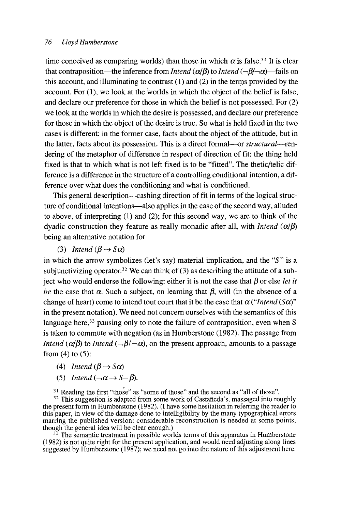time conceived as comparing worlds) than those in which  $\alpha$  is false.<sup>31</sup> It is clear that contraposition—the inference from *Intend*  $(\alpha/\beta)$  to *Intend*  $(-\beta/\alpha)$ —fails on **this account, and illuminating to contrast (1) and (2) in the terms provided by the**  this account, and illuminating to contrast (1) and (2) in the terms provided by the **account. For (1), we look at the 'worlds in which the object of the belief is false,**  account. For (1), we look at the worlds in which the object of the belief is false, **and declare our preference for those in which the belief is not possessed. For (2)**  and declare our preference for those in which the belief is not possessed. For (2) **we look at the worlds in which the desire is possessed, and declare our preference**  we look at the worlds in which the desire is possessed, and declare our preference **for those in which the object of the desire is true. So what is held fixed in the two**  for those in which the object ofthe desire is true. So what is held fixed in the two **cases is different: in the former case, facts about the object of the attitude, but in**  cases is different: in the former case, facts about the object of the attitude, but in **the latter, facts about its possession. This is a direct formal-or structural-ren-**the latter, facts about its possession. This is a direct formal~r *structural-ren***dering of the metaphor of difference in respect of direction of fit: the thing held**  dering of the metaphor of difference in respect of direction of fit: the thing held **fixed is that to which what is not left fixed is to be "fitted". The thetic/telic dif-**fixed is that to which what is not left fixed is to be "fitted". The thetic/telic dif**ference is a difference in the structure of a controlling conditional intention, a dif-**ference is a difference in the structure of a controlling conditional intention, a dif**ference over what does the conditioning and what is conditioned.**  ference over what does the conditioning and what is conditioned.

This general description-cashing direction of fit in terms of the logical struc**ture of conditional intentions-also applies in the case of the second way, alluded**  ture of conditional intentions-also applies in the case of the second way, alluded **to above, of interpreting (1) and (2); for this second way, we are to think of the**  to above, of interpreting (1) and (2); for this second way, we are to think of the dyadic construction they feature as really monadic after all, with *Intend*  $(\alpha/\beta)$ **being an alternative notation for**  being an alternative notation for

**(3)** *Intend*  $(\beta \rightarrow S\alpha)$ 

**in which the arrow symbolizes (let's say) material implication, and the "S" is a**  in which the arrow symbolizes (let's say) material implication, and the *"S"* is a **subjunctivizing operator.32 We can think of (3) as describing the attitude of a sub-**subjunctivizing operator.32 We can think of (3) as describing the attitude of a subject who would endorse the following: either it is not the case that  $\beta$  or else *let it* be the case that  $\alpha$ . Such a subject, on learning that  $\beta$ , will (in the absence of a change of heart) come to intend tout court that it be the case that  $\alpha$  ("Intend (S $\alpha$ )" **in the present notation). We need not concern ourselves with the semantics of this**  in the present notation). We need not concern ourselves with the semantics of this language here,<sup>33</sup> pausing only to note the failure of contraposition, even when S **is taken to commute with negation (as in Humberstone (1982). The passage from**  is taken to commute with negation (as in Humberstone (1982). The passage from *Intend* ( $\alpha/\beta$ ) to *Intend* ( $-\beta/\alpha$ ), on the present approach, amounts to a passage **from (4) to (5):**  from (4) to (5):

- **(4)** *Intend*  $(\beta \rightarrow S\alpha)$
- **(5)** *Intend*  $(\neg \alpha \rightarrow S \neg \beta)$ .

<sup>31</sup> Reading the first "those" as "some of those" and the second as "all of those".

**<sup>32</sup>This suggestion is adapted from some work of Castafieda's, massaged into roughly**  32 This suggestion is adapted from some work of Castaneda's, massaged into roughly **the present form in Humberstone (1982). (I have some hesitation in referring the reader to**  the present form in Humberstone (1982). (I have some hesitation in referring the reader to **this paper, in view of the damage done to intelligibility by the many typographical errors**  this paper, in view of the damage done to intelligibility by the many typographical errors **marring the published version: considerable reconstruction is needed at some points,**  marring the published version: considerable reconstruction is needed at some points, **though the general idea will be clear enough.)**  thou§h the general idea will be clear enough.)

**33 The semantic treatment in possible worlds terms of this apparatus in Humberstone**  3 The semantic treatment in possible worlds terms of this apparatus in Humberstone **(1982) is not quite right for the present application, and would need adjusting along lines**  (1982) is not quite right for the present application, and would need adjusting along lines **suggested by Humberstone (1987); we need not go into the nature of this adjustment here.**  suggested by Humberstone (1987); we need not go into the nature of this adjustment here.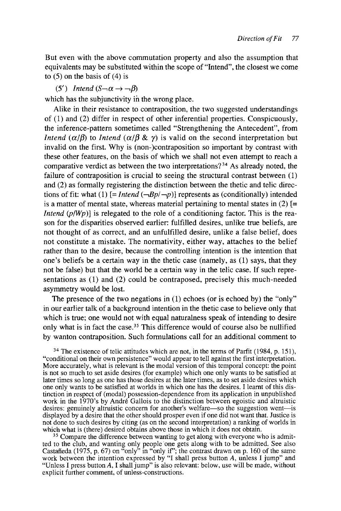**But even with the above commutation property and also the assumption that**  But even with the above commutation property and also the assumption that **equivalents may be substituted within the scope of "Intend", the closest we come**  equivalents may be substituted within the scope of "Intend", the closest we come **to (5) on the basis of (4) is**  to (5) on the basis of (4) is

(5') Intend  $(S \rightarrow \alpha \rightarrow \neg \beta)$ 

**which has the subjunctivity in the wrong place.**  which has the subjunctivity in the wrong place.

**Alike in their resistance to contraposition, the two suggested understandings**  Alike in their resistance to contraposition, the two suggested understandings **of (1) and (2) differ in respect of other inferential properties. Conspicuously,**  of (1) and (2) differ in respect of other inferential properties. Conspicuously, **the inference-pattern sometimes called "Strengthening the Antecedent", from**  the inference-pattern sometimes called "Strengthening the Antecedent", from *Intend* ( $\alpha/\beta$ ) to *Intend* ( $\alpha/\beta$  &  $\gamma$ ) is valid on the second interpretation but **invalid on the first. Why is (non-)contraposition so important by contrast with**  invalid on the first. Why is (non-)contraposition so important by contrast with **these other features, on the basis of which we shall not even attempt to reach a**  these other features, on the basis of which we shall not even attempt to reach a **comparative verdict as between the two interpretations?34 As already noted, the**  comparative verdict as between the two interpretations?34 As already noted, the **failure of contraposition is crucial to seeing the structural contrast between (1)**  failure of contraposition is crucial to seeing the structural contrast between (1) **and (2) as formally registering the distinction between the thetic and telic direc-**and (2) as formally registering the distinction between the thetic and telic directions of fit: what (1)  $[= *Internal* (-*BP*/-*p*)]$  represents as (conditionally) intended **is a matter of mental state, whereas material pertaining to mental states in (2) [=**  is a matter of mental state, whereas material pertaining to mental states in (2) [= **Intend (pIWp)] is relegated to the role of a conditioning factor. This is the rea-***Intend (p/Wp)]* is relegated to the role of a conditioning factor. This is the rea**son for the disparities observed earlier: fulfilled desires, unlike true beliefs, are**  son for the disparities observed earlier: fulfilled desires, unlike true beliefs, are **not thought of as correct, and an unfulfilled desire, unlike a false belief, does**  not thought of as correct, and an unfulfilled desire, unlike a false belief, does **not constitute a mistake. The normativity, either way, attaches to the belief**  not constitute a mistake. The normativity, either way, attaches to the belief **rather than to the desire, because the controlling intention is the intention that**  rather than to the desire, because the controlling intention is the intention that **one's beliefs be a certain way in the thetic case (namely, as (1) says, that they**  one's beliefs be a certain way in the thetic case (namely, as (1) says, that they **not be false) but that the world be a certain way in the telic case. If such repre-**not be false) but that the world be a certain way in the telic case. If such repre**sentations as (1) and (2) could be contraposed, precisely this much-needed**  sentations as (1) and (2) could be contraposed, precisely this much-needed **asymmetry would be lost.**  asymmetry would be lost.

**The presence of the two negations in (1) echoes (or is echoed by) the "only"**  The presence of the two negations in (1) echoes (or is echoed by) the "only" **in our earlier talk of a background intention in the thetic case to believe only that**  in our earlier talk of a background intention in the thetic case to believe only that **which is true; one would not with equal naturalness speak of intending to desire**  which is true; one would not with equal naturalness speak of intending to desire only what is in fact the case.<sup>35</sup> This difference would of course also be nullified **by wanton contraposition. Such formulations call for an additional comment to**  by wanton contraposition. Such formulations call for an additional comment to

**34 The existence of telic attitudes which are not, in the terms of Parfit (1984, p. 151), "conditional on their own persistence" would appear to tell against the first interpretation. More accurately, what is relevant is the modal version of this temporal concept: the point**  More accurately, what is relevant is the modal version of this temporal concept: the point **is not so much to set aside desires (for example) which one only wants to be satisfied at**  is not so much to set aside desires (for example) which one only wants to be satisfied at **later times so long as one has those desires at the later times, as to set aside desires which**  later times so long as one has those desires at the later times, as to set aside desires which **one only wants to be satisfied at worlds in which one has the desires. I learnt of this dis-**one only wants to be satisfied at worlds in which one has the desires. 1 learnt of this dis**tinction in respect of (modal) possession-dependence from its application in unpublished**  tinction in respect of (modal) possession-dependence from its application in unpublished **work in the 1970's by Andre Gallois to the distinction between egoistic and altruistic**  work in the 1970's by Andre Gallois to the distinction between egoistic and altruistic **desires: genuinely altruistic concern for another's welfare-so the suggestion went-is**  desires: genuinely altruistic concern for another's welfare-so the suggestion went-is **displayed by a desire that the other should prosper even if one did not want that. Justice is**  displayed by a desire that the other should prosper even if one did not want that. Justice is **not done to such desires by citing (as on the second interpretation) a ranking of worlds in**  not done to such desires by citing (as on the second interpretation) a ranking of worlds in which what is (there) desired obtains above those in which it does not obtain.  $34$  The existence of telic attitudes which are not, in the terms of Parfit (1984, p. 151), "conditional on their own persistence" would appear to tell against the first interpretation.

**35 Compare the difference between wanting to get along with everyone who is admit-**35 Compare the difference between wanting to get along with everyone who is admit**ted to the club, and wanting only people one gets along with to be admitted. See also Castafieda (1975, p. 67) on "only" in "only if"; the contrast drawn on p. 160 of the same work between the intention expressed by "I shall press button A, unless I jump" and "Unless I press button A, I shall jump" is also relevant: below, use will be made, without explicit further comment, of unless-constructions.**  explicit further comment, of unless-constructions. ted to the club, and wanting only people'one gets along with to be admitted. See also Castañeda (1975, p. 67) on "only" in "only if"; the contrast drawn on p. 160 of the same work between the intention expressed by "I shall press button A, unless 1 jump" and "Unless 1 press button A, 1 shall jump" is also relevant: below, use will be made, without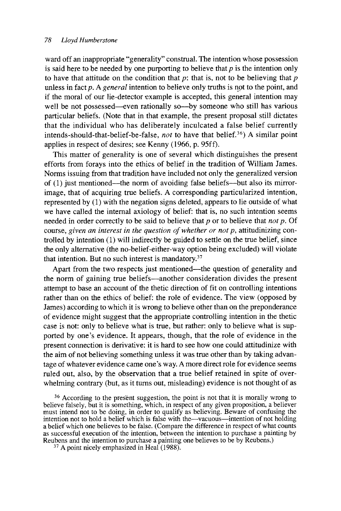**ward off an inappropriate "generality" construal. The intention whose possession**  ward off an inappropriate "generality" construal. The intention whose possession is said here to be needed by one purporting to believe that  $p$  is the intention only to have that attitude on the condition that  $p$ : that is, not to be believing that  $p$ unless in fact *p*. A *general* intention to believe only truths is not to the point, and **if the moral of our lie-detector example is accepted, this general intention may**  if the moral of our lie-detector example is accepted, this general intention may **well be not possessed-even rationally so-by someone who still has various**  well be not possessed--even rationally so-by someone who still has various **particular beliefs. (Note that in that example, the present proposal still dictates**  particular beliefs. (Note that in that example, the present proposal still dictates **that the individual who has deliberately inculcated a false belief currently**  that the individual who has deliberately inculcated a false belief currently **intends-should-that-belief-be-false, not to have that belief.36) A similar point**  intends-should-that-belief-be-false, *not* to have that belief.36 ) A similar point **applies in respect of desires; see Kenny (1966, p. 95ff).**  applies in respect of desires; see Kenny (1966, p. 95ff).

**This matter of generality is one of several which distinguishes the present**  This matter of generality is one of several which distinguishes the present **efforts from forays into the ethics of belief in the tradition of William James.**  efforts from forays into the ethics of belief in the tradition of William James. **Norms issuing from that tradition have included not only the generalized version**  Norms issuing from that tradition have included not only the generalized version of (1) just mentioned—the norm of avoiding false beliefs—but also its mirror**image, that of acquiring true beliefs. A corresponding particularized intention,**  image, that of acquiring true beliefs. A corresponding particularized intention, **represented by (1) with the negation signs deleted, appears to lie outside of what**  represented by (1) with the negation signs deleted, appears to lie outside of what **we have called the internal axiology of belief: that is, no such intention seems**  we have called the internal axiology of belief: that is, no such intention seems **needed in order correctly to be said to believe that p or to believe that not p. Of**  needed in order correctly to be said to believe that *p* or to believe that *not p.* Of **course, given an interest in the question of whether or not p, attitudinizing con-**course, *given an interest in the question of whether or not p,* attitudinizing con**trolled by intention (1) will indirectly be guided to settle on the true belief, since**  trolled by intention (1) will indirectly be guided to settle on the true belief, since **the only alternative (the no-belief-either-way option being excluded) will violate**  the only alternative (the no-belief-either-way option being excluded) will violate **that intention. But no such interest is mandatory.37**  that intention. But no such interest is mandatory.37

Apart from the two respects just mentioned-the question of generality and **the norm of gaining true beliefs-another consideration divides the present**  the norm of gaining true beliefs-another consideration divides the present **attempt to base an account of the thetic direction of fit on controlling intentions**  attempt to base an account of the thetic direction of fit on controlling intentions **rather than on the ethics of belief: the role of evidence. The view (opposed by**  rather than on the ethics of belief: the role of evidence. The view (opposed by **James) according to which it is wrong to believe other than on the preponderance**  James) according to which it is wrong to believe other than on the preponderance **of evidence might suggest that the appropriate controlling intention in the thetic**  of evidence might suggest that the appropriate controlling intention in the thetic **case is not: only to believe what is true, but rather: only to believe what is sup-**case is not: only to believe what is true, but rather: only to believe what is sup**ported by one's evidence. It appears, though, that the role of evidence in the**  ported by one's evidence. It appears, though, that the role of evidence in the **present connection is derivative: it is hard to see how one could attitudinize with**  present connection is derivative: it is hard to see how one could attitudinize with **the aim of not believing something unless it was true other than by taking advan-**the aim of not believing something unless it was true other than by taking advan**tage of whatever evidence came one's way. A more direct role for evidence seems**  tage of whatever evidence came one's way. A more direct role for evidence seems **ruled out, also, by the observation that a true belief retained in spite of over-**ruled out, also, by the observation that a true belief retained in spite of over**whelming contrary (but, as it turns out, misleading) evidence is not thought of as**  whelming contrary (but, as it turns out, misleading) evidence is not thought of as

**<sup>36</sup>According to the pres'ent suggestion, the point is not that it is morally wrong to**  36 According to the present suggestion, the point is not that it is morally wrong to believe falsely, but it is something, which, in respect of any given proposition, a believer **must intend not to be doing, in order to qualify as believing. Beware of confusing the**  must intend not to be doing, in order to qualify as believing. Beware of confusing the intention not to hold a belief which is false with the-vacuous-intention of not holding **a belief which one believes to be false. (Compare the difference in respect of what counts as successful execution of the intention, between the intention to purchase a painting by**  as successful execution of the intention, between the intention to purchase a painting by Reubens and the intention to purchase a painting one believes to be by Reubens.) intention not to hold a belief which is false with the-vacuous-intention of not holding a belief which one believes to be false. (Compare the difference in respect of what counts

**37 A point nicely emphasized in Heal (1988).**  37 A point nicely emphasized in Heal (1988).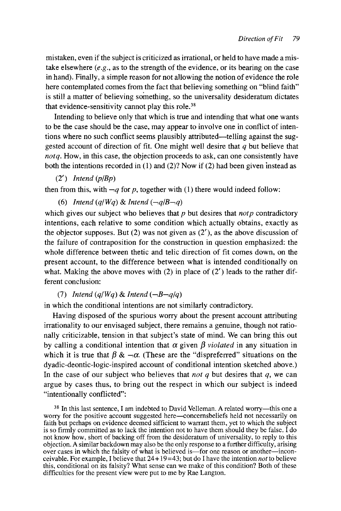**mistaken, even if the subject is criticized as irrational, or held to have made a mis-**mistaken, even if the subject is criticized as irrational, or held to have made a mis**take elsewhere (e.g., as to the strength of the evidence, or its bearing on the case**  take elsewhere (e.g., as to the strength of the evidence, or its bearing on the case **in hand). Finally, a simple reason for not allowing the notion of evidence the role**  in hand). Finally, a simple reason for not allowing the notion of evidence the role **here contemplated comes from the fact that believing something on "blind faith"**  here contemplated comes from the fact that believing something on "blind faith" **is still a matter of believing something, so the universality desideratum dictates**  is still a matter of believing something, so the universality desideratum dictates **that evidence-sensitivity cannot play this role.38**  that evidence-sensitivity cannot play this role.38

**Intending to believe only that which is true and intending that what one wants**  Intending to believe only that which is true and intending that what one wants **to be the case should be the case, may appear to involve one in conflict of inten-**to be the case should be the case, may appear to involve one in conflict of inten**tions where no such conflict seems plausibly attributed-telling against the sug-**tions where no such conflict seems plausibly attributed-telling against the sug**gested account of direction of fit. One might well desire that q but believe that**  gested account of direction of fit. One might well desire that *q* but believe that notq. How, in this case, the objection proceeds to ask, can one consistently have **both the intentions recorded in (1) and (2)? Now if (2) had been given instead as**  both the intentions recorded in (1) and (2)? Now if (2) had been given instead as

**(2') Intend (pIBp)**  *(2') Intend (P/Bp)* 

then from this, with  $\neg q$  for *p*, together with (1) there would indeed follow:

```
(6) Intend (q/Wq) & Intend (\neg q/B \neg q)
```
**which gives our subject who believes that p but desires that notp contradictory**  which gives our subject who believes that *p* but desires that *notp* contradictory **intentions, each relative to some condition which actually obtains, exactly as**  intentions, each relative to some condition which actually obtains, exactly as **the objector supposes. But (2) was not given as (2'), as the above discussion of**  the objector supposes. But (2) was not given as (2'), as the above discussion of **the failure of contraposition for the construction in question emphasized: the**  the failure of contraposition for the construction in question emphasized: the **whole difference between thetic and telic direction of fit comes down, on the**  whole difference between thetic and telic direction of fit comes down, on the **present account, to the difference between what is intended conditionally on**  present account, to the difference between what is intended conditionally on **what. Making the above moves with (2) in place of (2') leads to the rather dif-**what. Making the above moves with (2) in place of (2') leads to the rather dif**ferent conclusion:**  ferent conclusion:

(7) Intend  $(q/Wq)$  & Intend  $(\neg B \neg q/q)$ 

**in which the conditional intentions are not similarly contradictory.**  in which the conditional intentions are not similarly contradictory.

**Having disposed of the spurious worry about the present account attributing**  Having disposed of the spurious worry about the present account attributing **irrationality to our envisaged subject, there remains a genuine, though not ratio-**irrationality to our envisaged subject, there remains a genuine, though not ratio**nally criticizable, tension in that subject's state of mind. We can bring this out**  nally criticizable, tension in that subject's state of mind. We can bring this out by calling a conditional intention that  $\alpha$  given  $\beta$  *violated* in any situation in which it is true that  $\beta \& \neg \alpha$ . (These are the "dispreferred" situations on the **dyadic-deontic-logic-inspired account of conditional intention sketched above.)**  dyadic-deontic-Iogic-inspired account of conditional intention sketched above.) **In the case of our subject who believes that not q but desires that q, we can**  In the case of our subject who believes that *not q* but desires that *q,* we can **argue by cases thus, to bring out the respect in which our subject is indeed**  argue by cases thus, to bring out the respect in which our subject is indeed **"intentionally conflicted":**  "intentionally conflicted":

<sup>38</sup> In this last sentence, I am indebted to David Velleman. A related worry----this one a worry for the positive account suggested here-concernsbeliefs held not necessarily on **faith but perhaps on evidence deemed sifficient to warrant them, yet to which the subject**  faith but perhaps on evidence deemed sifficient to warrant them, yet to which the subject **is so firmly committed as to lack the intention not to have them should they be false. I do**  is so firmly committed as to lack the intention not to have them should they be false. I do **not know how, short of backing off from the desideratum of universality, to reply to this**  not know how, short of backing off from the desideratum of universality, to reply to this **objection. A similar backdown may also be the only response to a further difficulty, arising**  over cases in which the falsity of what is believed is—for one reason or another—incon**ceivable. For example, I believe that 24+ 19 =43; but do I have the intention not to believe**  ceivable. For example, I believe that 24+ 19=43; but do I have the intention *not* to believe **this, conditional on its falsity? What sense can we make of this condition? Both of these**  this, conditional on its falsity? What sense can we make of this condition? Both of these **difficulties for the present view were put to me by Rae Langton.**  difficulties for the present view were put to me by Rae Langton. objection. A similar backdown may also be the only response to a further difficulty, arising<br>over cases in which the falsity of what is believed is—for one reason or another—incon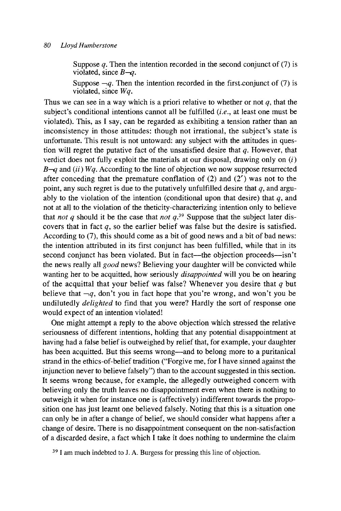**Suppose q. Then the intention recorded in the second conjunct of (7) is**  Suppose *q.* Then the intention recorded in the second conjunct of (7) is **violated, since B-q.**  violated, since *B-q.* 

Suppose  $\neg q$ . Then the intention recorded in the first conjunct of (7) is **violated, since Wq.**  violated, since *Wq.* 

**Thus we can see in a way which is a priori relative to whether or not q, that the**  Thus we can see in a way which is a priori relative to whether or not q, that the **subject's conditional intentions cannot all be fulfilled (i.e., at least one must be**  subject's conditional intentions cannot all be fulfilled *(i.e.,* at least one must be **violated). This, as I say, can be regarded as exhibiting a tension rather than an**  violated). This, as I say, can be regarded as exhibiting a tension rather than an **inconsistency in those attitudes: though not irrational, the subject's state is**  inconsistency in those attitudes: though not irrational, the subject's state is **unfortunate. This result is not untoward: any subject with the attitudes in ques-**unfortunate. This result is not untoward: any subject with the attitudes in ques**tion will regret the putative fact of the unsatisfied desire that q. However, that**  tion will regret the putative fact of the unsatisfied desire that *q.* However, that **verdict does not fully exploit the materials at our disposal, drawing only on (i)**  verdict does not fully exploit the materials at our disposal, drawing only on (i) B-q and (ii) Wq. According to the line of objection we now suppose resurrected **after conceding that the premature conflation of (2) and (2') was not to the**  after conceding that the premature conflation of (2) and (2') was not to the **point, any such regret is due to the putatively unfulfilled desire that q, and argu-**point, any such regret is due to the putatively unfulfilled desire that *q,* and argu**ably to the violation of the intention (conditional upon that desire) that q, and**  ably to the violation of the intention (conditional upon that desire) that *q,* and **not at all to the violation of the theticity-characterizing intention only to believe**  not at all to the violation of the theticity-characterizing intention only to believe **that not q should it be the case that not q.39 Suppose that the subject later dis-**that *not q* should it be the case that *not q.39* Suppose that the subject later dis**covers that in fact q, so the earlier belief was false but the desire is satisfied.**  covers that in fact *q,* so the earlier belief was false but the desire is satisfied. **According to (7), this should come as a bit of good news and a bit of bad news:**  According to (7), this should come as a bit of good news and a bit of bad news: **the intention attributed in its first conjunct has been fulfilled, while that in its**  the intention attributed in its first conjunct has been fulfilled, while that in its second conjunct has been violated. But in fact-the objection proceeds-isn't **the news really all good news? Believing your daughter will be convicted while**  the news really all *good* news? Believing your daughter will be convicted while **wanting her to be acquitted, how seriously disappointed will you be on hearing**  wanting her to be acquitted, how seriously *disappointed* will you be on hearing **of the acquittal that your belief was false? Whenever you desire that q but**  of the acquittal that your belief was false? Whenever you desire that *q* but believe that  $\neg q$ , don't you in fact hope that you're wrong, and won't you be **undilutedly delighted to find that you were? Hardly the sort of response one**  undilutedly *delighted* to find that you were? Hardly the sort of response one **would expect of an intention violated!**  would expect of an intention violated!

**One might attempt a reply to the above objection which stressed the relative**  One might attempt a reply to the above objection which stressed the relative **seriousness of different intentions, holding that any potential disappointment at**  seriousness of different intentions, holding that any potential disappointment at **having had a false belief is outweighed by relief that, for example, your daughter**  having had a false belief is outweighed by relief that, for example, your daughter has been acquitted. But this seems wrong-and to belong more to a puritanical **strand in the ethics-of-belief tradition ("Forgive me, for I have sinned against the**  strand in the ethics-of-belief tradition ("Forgive me, for I have sinned against the **injunction never to believe falsely") than to the account suggested in this section.**  injunction never to believe falsely") than to the account suggested in this section. **It seems wrong because, for example, the allegedly outweighed concern with**  It seems wrong because, for example, the allegedly outweighed concern with believing only the truth leaves no disappointment even when there is nothing to outweigh it when for instance one is (affectively) indifferent towards the propo**sition one has just learnt one believed falsely. Noting that this is a situation one**  sition one has just learnt one believed falsely. Noting that this is a situation one **can only be in after a change of belief, we should consider what happens after a**  can only be in after a change of belief, we should consider what happens after a **change of desire. There is no disappointment consequent on the non-satisfaction**  change of desire. There is no disappointment consequent on the non-satisfaction of a discarded desire, a fact which I take it does nothing to undermine the claim

**<sup>39</sup> I am much indebted to J. A. Burgess for pressing this line of objection.**  39 I am much indebted to J. A. Burgess for pressing this line of objection.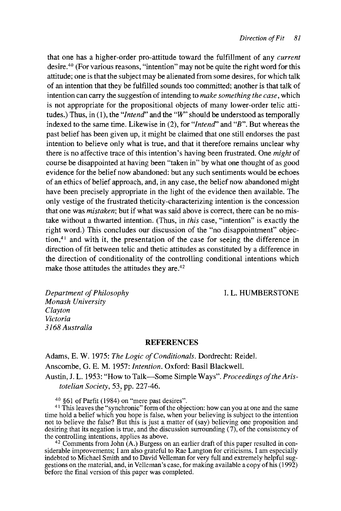**that one has a higher-order pro-attitude toward the fulfillment of any current**  that one has a higher-order pro-attitude toward the fulfillment of any *current*  **desire.40 (For various reasons, "intention" may not be quite the right word for this**  desire.40 (For various reasons, "intention" may not be quite the right word for this **attitude; one is that the subject may be alienated from some desires, for which talk**  attitude; one is that the subject may be alienated from some desires, for which talk of an intention that they be fulfilled sounds too committed; another is that talk of **intention can carry the suggesti'on of intending to make something the case, which**  intention can carry the suggestion of intending to *make something the case,* which **is not appropriate for the propositional objects of many lower-order telic atti-**is not appropriate for the propositional objects of many lower-order telic atti**tudes.) Thus, in (1), the "Intend" and the "W' should be understood as temporally**  tudes.) Thus, in (1), the *"Intend"* and the *"W"* should be understood as temporally **indexed to the same time. Likewise in (2), for "Intend" and "B". But whereas the**  indexed to the same time. Likewise in (2), for *"Intend"* and *"B".* But whereas the **past belief has been given up, it might be claimed that one still endorses the past**  past belief has been given up, it might be claimed that one still endorses the past **intention to believe only what is true, and that it therefore remains unclear why**  intention to believe only what is true, and that it therefore remains unclear why **there is no affective trace of this intention's having been frustrated. One might of**  there is no affective trace of this intention's having been frustrated. One *might* of **course be disappointed at having been "taken in" by what one thought of as good**  course be disappointed at having been "taken in" by what one thought of as good **evidence for the belief now abandoned: but any such sentiments would be echoes**  evidence for the belief now abandoned: but any such sentiments would be echoes **of an ethics of belief approach, and, in any case, the belief now abandoned might**  of an ethics of belief approach, and, in any case, the belief now abandoned might **have been precisely appropriate in the light of the evidence then available. The**  have been precisely appropriate in the light of the evidence then available. The **only vestige of the frustrated theticity-characterizing intention is the concession**  only vestige of the frustrated theticity-characterizing intention is the concession **that one was mistaken; but if what was said above is correct, there can be no mis-**that one was *mistaken;* but if what was said above is correct, there can be no mis**take without a thwarted intention. (Thus, in this case, "intention" is exactly the**  take without a thwarted intention. (Thus, in *this* case, "intention" is exactly the **right word.) This concludes our discussion of the "no disappointment" objec-**right word.) This concludes our discussion of the "no disappointment" objec**tion,41 and with it, the presentation of the case for seeing the difference in**  tion,41 and with it, the presentation of the case for seeing the difference in **direction of fit between telic and thetic attitudes as constituted by a difference in**  direction of fit between telic and thetic attitudes as constituted by a difference in **the direction of conditionality of the controlling conditional intentions which**  the direction of conditionality of the controlling conditional intentions which make those attitudes the attitudes they are.<sup>42</sup>

**Department of Philosophy I. L. HUMBERSTONE**  *Department of Philosophy*  **Monash University**  *Monash University*  **Clayton**  *Clayton*  **Victoria**  *Victoria*  **3168 Australia**  *3168 Australia* 

I. L. HUMBERSTONE

#### **REFERENCES**  REFERENCES

**Adams, E. W. 1975: The Logic of Conditionals. Dordrecht: Reidel.**  Adams, E. W. 1975: *The Logic of Conditionals.* Dordrecht: Reidel. **Anscombe, G. E. M. 1957: Intention. Oxford: Basil Blackwell.**  Anscombe, G. E. M. 1957: *Intention.* Oxford: Basil Blackwell. **Austin, J. L. 1953: "How to Talk-Some Simple Ways". Proceedings of theAris-**Austin, J. L. 1953: "How to Talk-Some Simple Ways". *Proceedings of the Aris***totelian Society, 53, pp. 227-46.**  *totelian Society,* 5~? Pi>. 227-46.

<sup>40</sup> §61 of Parfit (1984) on "mere past desires".

**<sup>41</sup>This leaves the "synchronic" form of the objection: how can you at one and the same time hold a belief which you hope is false, when your believing is subject to the intention not to believe the false? But this is just a matter of (say) believing one proposition and**  not to believe the false? But this is just a matter of (say) believing one proposition and **desiring that its negation is true, and the discussion surrounding (7), of the consistency of**  desiring that its negation is true, and the discussion surrounding (7), of the consistency of **the controlling intentions, applies as above.**  the controlling intentions, applies as above. <sup>41</sup> This leaves the "synchronic" form of the objection: how can you at one and the same time hold a belief which you hope is false, when your believing is subject to the intention

<sup>42</sup> Comments from John (A.) Burgess on an earlier draft of this paper resulted in con**siderable improvements; I am also grateful to Rae Langton for criticisms. I am especially indebted to Michael Smith and to David Velleman for very full and extremely helpful suggestions on the material, and, in Velleman's case, for making available a copy of his (1992)**  gestions on the material, and, in Velleman's case, for making available a copy of his (1992) **before the final version of this paper was completed.**  before the final version of this paper was completed. siderable improvements; I am also grateful to Rae Langton for criticisms. I am especially indebted to Michael Smith and to David Velleman for very full and extremely helpful sug-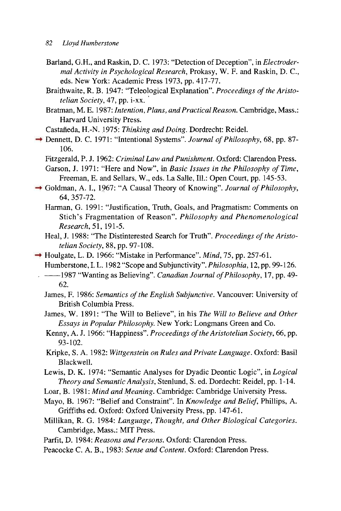- **82 Lloyd Humberstone**  *82 Lloyd Humberstone*
- **Barland, G.H., and Raskin, D. C. 1973: "Detection of Deception", in Electroder-**Barland, G.H., and Raskin, D. C. 1973: "Detection of Deception", in *Electroder***mal Activity in Psychological Research, Prokasy, W. F. and Raskin, D. C.,**  *mal Activity in Psychological Research,* Prokasy, W. F. and Raskin, D. c., **eds. New York: Academic Press 1973, pp. 417-77.**  eds. New York: Academic Press 1973, pp. 417-77.
- Braithwaite, R. B. 1947: "Teleological Explanation". *Proceedings of the Aristo***telian Society, 47, pp. i-xx.**  *telian Society,* 47, pp. i-xx ..
- **Bratman, M. E. 1987: Intention, Plans, and Practical Reason. Cambridge, Mass.:**  Bratman, M. E. 1987: *Intention, Plans, and Practical Reason.* Cambridge, Mass.: **Harvard University Press.**  Harvard University Press.

Castañeda, H.-N. 1975: Thinking and Doing. Dordrecht: Reidel.

- **Dennett, D. C. 1971: "Intentional Systems". Journal of Philosophy, 68, pp. 87-**  Dennett, D. C. 1971: "Intentional Systems". *Journal 0/ Philosophy,* 68, pp. 87- **106.**  106.
	- **Fitzgerald, P. J. 1962: Criminal Law and Punishment. Oxford: Clarendon Press.**  Fitzgerald, P. J. 1962: *Criminal Law and Punishment.* Oxford: Clarendon Press.
	- **Garson, J. 1971: "Here and Now", in Basic Issues in the Philosophy of Time,**  Garson, J. 1971: "Here and Now", in *Basic Issues in the Philosophy o/Time,*  **Freeman, E. and Sellars, W., eds. La Salle, Ill.: Open Court, pp. 145-53.**  Freeman, E. and Sellars, W., eds. La Salle, Ill.: Open Court, pp. 145-53.
- **Goldman, A. I., 1967: "A Causal Theory of Knowing". Journal of Philosophy,**  Goldman, A. I., 1267: "A Causal Theory of Knowing". *Journal 0/ Philosophy,*  **64, 357-72.**  64,357-72.
	- **Harman, G. 1991: "Justification, Truth, Goals, and Pragmatism: Comments on**  Harman, G. 1991: "Justification, Truth, Goals, and Pragmatism: Comments on Stich's Fragmentation of Reason". *Philosophy and Phenomenological Research,* 51, 191-5. **Research, 51, 191-5.**
	- Heal, J. 1988: "The Distinterested Search for Truth". *Proceedings of the Aristo***telian Society, 88, pp. 97-108.**  *telian Society,* 88, pp. 97-108.
- **Houlgate, L. D. 1966: "Mistake in Performance". Mind, 75, pp. 257-61.**  Houlgate, L. D. 1966: "Mistake in Performance". *Mind,* 75, pp. 257-61. **Humberstone, I. L. 1982 "Scope and Subjunctivity". Philosophia, 12, pp. 99-126.**  Humberstone, I. L. 1982 "Scope and Subjunctivity". *Philosophia,* 12, pp. 99-126.
	- **1987 "Wanting as Believing". Canadian Journal of Philosophy, 17, pp. 49-**  --1987 "Wanting as Believing". *Canadian Journal o/Philosophy,* 17, pp. 49- **62.**  62.
	- James, F. 1986: *Semantics of the English Subjunctive*. Vancouver: University of **British Columbia Press.**  British Columbia Press.
	- **James, W. 1891: "The Will to Believe", in his The Will to Believe and Other**  James, W. 1891: "The Will to Believe", in his *The Will to Believe and Other*  **Essays in Popular Philosophy. New York: Longmans Green and Co.**  *Essays in Popular Philosophy.* New York: Longmans Green and Co.
	- **Kenny, A. J. 1966: "Happiness". Proceedings of the Aristotelian Society, 66, pp.**  Kenny, A. J. 1966: "Happiness". *Proceedings o/the Aristotelian Society,* 66, pp. **93-102.**  93-102.
	- **Kripke, S. A. 1982: Wittgenstein on Rules and Private Language. Oxford: Basil**  Kripke, S. A. 1982: *Wittgenstein on Rules and Private Language.* Oxford: Basil **Blackwell.**  Blackwell.
	- **Lewis, D. K. 1974: "Semantic Analyses for Dyadic Deontic Logic", in Logical**  Lewis, D. K. i974: "Semantic Analyses for Dyadic Deontic Logic", in *Logical*  **Theory and Semantic Analysis, Stenlund, S. ed. Dordecht: Reidel, pp. 1-14.**  *Theory and Semantic Analysis,* Stenlund, S. ed. Dordecht: Reidel, pp. 1-14.
	- Loar, B. 1981: *Mind and Meaning*. Cambridge: Cambridge University Press.
	- **Mayo, B. 1967: "Belief and Constraint". In Knowledge and Belief, Phillips, A.**  Mayo, B. 1967: "Belief and Constraint". In *Knowledge and Belief,* Phillips, A. **Griffiths ed. Oxford: Oxford University Press, pp. 147-61.**  Griffiths ed. Oxford: Oxford University Press, pp. 147-61.
	- **Millikan, R. G. 1984: Language, Thought, and Other Biological Categories.**  Millikan, R. G. 1984: *Language, Thought, and Other Biological Categories.*  **Cambridge, Mass.: MIT Press.**  Cambridge, Mass.: MIT Press.
	- **Parfit, D. 1984: Reasons and Persons. Oxford: Clarendon Press.**  Parfit, D. 1984: *Reasons and Persons.* Oxford: Clarendon Press.
	- **Peacocke C. A. B., 1983: Sense and Content. Oxford: Clarendon Press.**  Peacocke C. A. B., 1983: *Sense and Content.* Oxford: Clarendon Press.